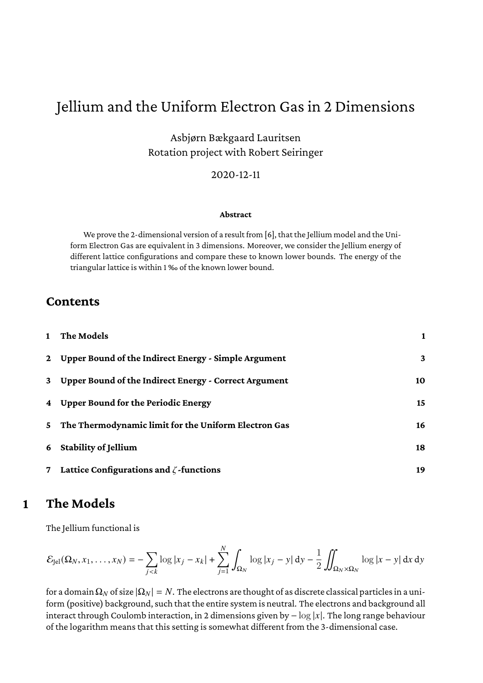# Jellium and the Uniform Electron Gas in 2 Dimensions

Asbjørn Bækgaard Lauritsen Rotation project with Robert Seiringer

#### 2020-12-11

#### **Abstract**

We prove the 2-dimensional version of a result from [\[6\]](#page-22-0), that the Jellium model and the Uniform Electron Gas are equivalent in 3 dimensions. Moreover, we consider the Jellium energy of different lattice configurations and compare these to known lower bounds. The energy of the triangular lattice is within 1 ‰ of the known lower bound.

#### **Contents**

|              | The Models                                            |    |
|--------------|-------------------------------------------------------|----|
| $\mathbf{2}$ | Upper Bound of the Indirect Energy - Simple Argument  | 3  |
| 3            | Upper Bound of the Indirect Energy - Correct Argument | 10 |
| 4            | <b>Upper Bound for the Periodic Energy</b>            | 15 |
| 5.           | The Thermodynamic limit for the Uniform Electron Gas  | 16 |
| 6            | <b>Stability of Jellium</b>                           | 18 |
|              | Lattice Configurations and $\zeta$ -functions         | 19 |

### <span id="page-0-0"></span>**1 The Models**

The Jellium functional is

$$
\mathcal{E}_{\text{Jel}}(\Omega_N, x_1, \dots, x_N) = -\sum_{j < k} \log|x_j - x_k| + \sum_{j=1}^N \int_{\Omega_N} \log|x_j - y| \, \mathrm{d}y - \frac{1}{2} \iint_{\Omega_N \times \Omega_N} \log|x - y| \, \mathrm{d}x \, \mathrm{d}y
$$

for a domain  $\Omega_N$  of size  $|\Omega_N| = N$ . The electrons are thought of as discrete classical particles in a uniform (positive) background, such that the entire system is neutral. The electrons and background all interact through Coulomb interaction, in 2 dimensions given by  $-\log |x|$ . The long range behaviour of the logarithm means that this setting is somewhat different from the 3-dimensional case.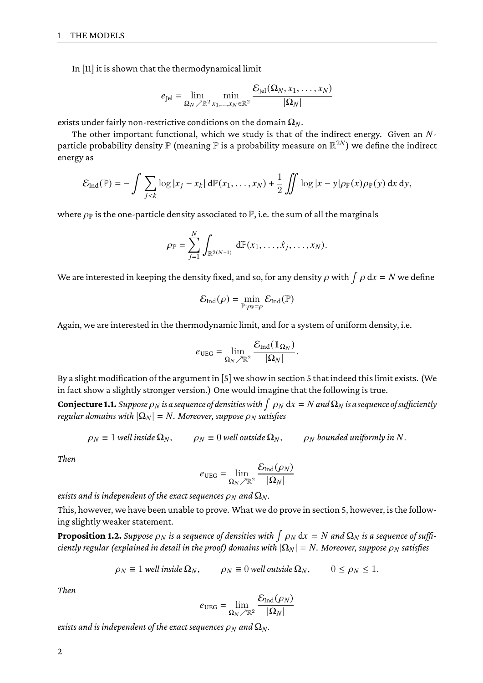In [\[11\]](#page-22-1) it is shown that the thermodynamical limit

$$
e_{\text{Jel}} = \lim_{\Omega_N \nearrow \mathbb{R}^2} \min_{x_1, \dots, x_N \in \mathbb{R}^2} \frac{\mathcal{E}_{\text{Jel}}(\Omega_N, x_1, \dots, x_N)}{|\Omega_N|}
$$

exists under fairly non-restrictive conditions on the domain  $\Omega_N$ .

The other important functional, which we study is that of the indirect energy. Given an  $N$ particle probability density  $\mathbb P$  (meaning  $\mathbb P$  is a probability measure on  $\mathbb R^{2N})$  we define the indirect energy as

$$
\mathcal{E}_{\text{Ind}}(\mathbb{P}) = -\int \sum_{j < k} \log |x_j - x_k| \, d\mathbb{P}(x_1, \dots, x_N) + \frac{1}{2} \iint \log |x - y| \rho_{\mathbb{P}}(x) \rho_{\mathbb{P}}(y) \, dx \, dy,
$$

where  $\rho_{\mathbb{P}}$  is the one-particle density associated to  $\mathbb{P}$ , i.e. the sum of all the marginals

$$
\rho_{\mathbb{P}} = \sum_{j=1}^N \int_{\mathbb{R}^{2(N-1)}} d\mathbb{P}(x_1,\ldots,\hat{x}_j,\ldots,x_N).
$$

We are interested in keeping the density fixed, and so, for any density  $\rho$  with  $\int \rho\, \mathrm{d} x=N$  we define

$$
\mathcal{E}_{\text{Ind}}(\rho) = \min_{\mathbb{P}: \rho_{\mathbb{P}} = \rho} \mathcal{E}_{\text{Ind}}(\mathbb{P})
$$

Again, we are interested in the thermodynamic limit, and for a system of uniform density, i.e.

$$
e_{\text{UEG}} = \lim_{\Omega_N \nearrow \mathbb{R}^2} \frac{\mathcal{E}_{\text{Ind}}(\mathbb{1}_{\Omega_N})}{|\Omega_N|}
$$

.

By a slight modification of the argument in [\[5\]](#page-22-2) we show in section [5](#page-15-0) that indeed this limit exists. (We in fact show a slightly stronger version.) One would imagine that the following is true.

<span id="page-1-0"></span>**Conjecture 1.1.** Suppose  $\rho_N$  is a sequence of densities with  $\int \rho_N dx = N$  and  $\Omega_N$  is a sequence of sufficiently *regular domains with*  $|\Omega_N| = N$ *. Moreover, suppose*  $\rho_N$  *satisfies* 

$$
\rho_N \equiv 1
$$
 well inside  $\Omega_N$ ,  $\rho_N \equiv 0$  well outside  $\Omega_N$ ,  $\rho_N$  bounded uniformly in N.

*Then*

$$
e_\text{UEG} = \lim_{\Omega_N\nearrow \mathbb{R}^2} \frac{\mathcal{E}_\text{Ind}(\rho_N)}{|\Omega_N|}
$$

*exists and is independent of the exact sequences*  $\rho_N$  *and*  $\Omega_N$ *.* 

This, however, we have been unable to prove. What we do prove in section [5,](#page-15-0) however, is the following slightly weaker statement.

<span id="page-1-1"></span>**Proposition 1.2.** Suppose  $\rho_N$  is a sequence of densities with  $\int \rho_N dx = N$  and  $\Omega_N$  is a sequence of suffi*ciently regular (explained in detail in the proof) domains with*  $|\Omega_N| = N$ *. Moreover, suppose*  $\rho_N$  satisfies

$$
\rho_N \equiv 1
$$
 well inside  $\Omega_N$ ,  $\rho_N \equiv 0$  well outside  $\Omega_N$ ,  $0 \le \rho_N \le 1$ .

*Then*

$$
e_{\text{UEG}} = \lim_{\Omega_N \nearrow \mathbb{R}^2} \frac{\mathcal{E}_{\text{Ind}}(\rho_N)}{|\Omega_N|}
$$

*exists and is independent of the exact sequences*  $\rho_N$  *and*  $\Omega_N$ *.*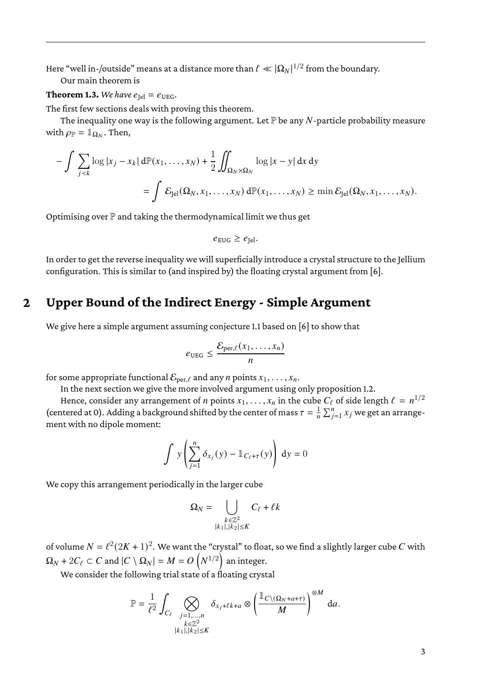Here "well in-/outside" means at a distance more than  $\ell \ll |\Omega_N|^{1/2}$  from the boundary.

Our main theorem is

#### **Theorem 1.3.** *We have*  $e_{\text{lel}} = e_{\text{UEG}}$ *.*

The first few sections deals with proving this theorem.

The inequality one way is the following argument. Let  $\mathbb P$  be any N-particle probability measure with  $\rho_{\mathbb{P}} = \mathbb{1}_{\Omega_N}$ . Then,

$$
-\int \sum_{j
$$
= \int \mathcal{E}_{\text{Jel}}(\Omega_N, x_1, \dots, x_N) \, d\mathbb{P}(x_1, \dots, x_N) \ge \min \mathcal{E}_{\text{Jel}}(\Omega_N, x_1, \dots, x_N).
$$
$$

Optimising over  $\mathbb P$  and taking the thermodynamical limit we thus get

$$
e_{\text{EUG}} \ge e_{\text{Jel}}.
$$

In order to get the reverse inequality we will superficially introduce a crystal structure to the Jellium configuration. This is similar to (and inspired by) the floating crystal argument from [\[6\]](#page-22-0).

# <span id="page-2-0"></span>**2 Upper Bound of the Indirect Energy - Simple Argument**

We give here a simple argument assuming conjecture [1.1](#page-1-0) based on [\[6\]](#page-22-0) to show that

$$
e_{\text{UEG}} \leq \frac{\mathcal{E}_{\text{per},\ell}(x_1,\ldots,x_n)}{n}
$$

for some appropriate functional  $\mathcal{E}_{\text{per},\ell}$  and any *n* points  $x_1, \ldots, x_n$ .

In the next section we give the more involved argument using only proposition [1.2.](#page-1-1)

Hence, consider any arrangement of  $n$  points  $x_1, \ldots, x_n$  in the cube  $C_\ell$  of side length  $\ell \, = \, n^{1/2}$ (centered at 0). Adding a background shifted by the center of mass  $\tau = \frac{1}{n} \sum_{j=1}^{n} x_j$  we get an arrangement with no dipole moment:

$$
\int y \left( \sum_{j=1}^{n} \delta_{x_j}(y) - \mathbb{1}_{C_{\ell} + \tau}(y) \right) dy = 0
$$

We copy this arrangement periodically in the larger cube

$$
\Omega_N = \bigcup_{\substack{k \in \mathbb{Z}^2\\|k_1|, |k_2| \le K}} C_\ell + \ell k
$$

of volume  $N=\ell^2(2K+1)^2.$  We want the "crystal" to float, so we find a slightly larger cube  $C$  with  $\Omega_N + 2C_\ell \subset C$  and  $|C \setminus \Omega_N| = M = O\left(N^{1/2}\right)$  an integer.

We consider the following trial state of a floating crystal

$$
\mathbb{P} = \frac{1}{\ell^2} \int_{C_{\ell}} \bigotimes_{\substack{j=1,...,n \\ k \in \mathbb{Z}^2 \\ |k_1|, |k_2| \leq K}} \delta_{x_j+\ell k + a} \otimes \left(\frac{\mathbb{1}_{C \setminus (\Omega_N + a + \tau)}}{M}\right)^{\otimes M} \,\mathrm{d} a.
$$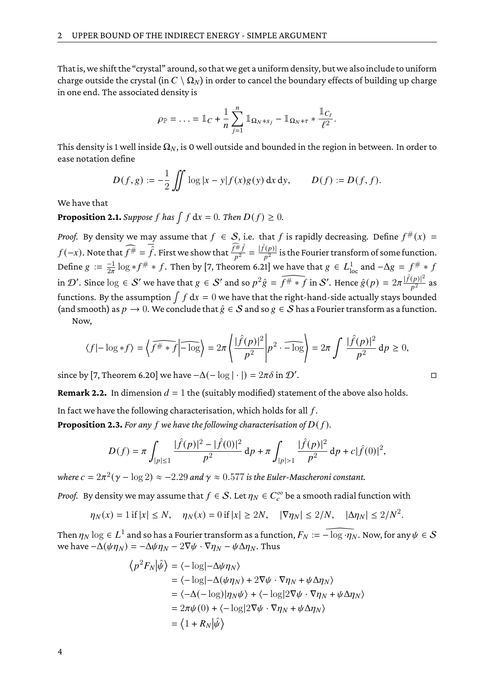That is, we shift the "crystal" around, so that we get a uniform density, but we also include to uniform charge outside the crystal (in  $C \setminus \Omega_N$ ) in order to cancel the boundary effects of building up charge in one end. The associated density is

$$
\rho_{\mathbb{P}} = \ldots = \mathbb{1}_C + \frac{1}{n} \sum_{j=1}^n \mathbb{1}_{\Omega_N + x_j} - \mathbb{1}_{\Omega_N + \tau} * \frac{\mathbb{1}_{C_\ell}}{\ell^2}.
$$

This density is 1 well inside  $\Omega_N$ , is 0 well outside and bounded in the region in between. In order to ease notation define

$$
D(f,g) := -\frac{1}{2} \iint \log |x - y| f(x) g(y) \, dx \, dy, \qquad D(f) := D(f, f).
$$

We have that

**Proposition 2.1.** *Suppose*  $f$  *has*  $\int f dx = 0$ *. Then*  $D(f) \ge 0$ *.* 

*Proof.* By density we may assume that  $f \in S$ , i.e. that  $f$  is rapidly decreasing. Define  $f^{\#}(x) =$  $f(-x)$ . Note that  $\widehat{f^\#} = \overline{\hat{f}}$ . First we show that  $\frac{\widehat{f^\#} \hat{f}}{p^2} = \frac{|\hat{f}(p)|}{p^2}$  $\frac{(p)}{p^2}$  is the Fourier transform of some function. Define  $g := \frac{-1}{2\pi} \log * f^{\#} * f$ . Then by [\[7,](#page-22-3) Theorem 6.21] we have that  $g \in L^1_{loc}$  and  $-\Delta g = f^{\#} * f$ in  $\mathcal{D}'$ . Since  $\log \in \mathcal{S}'$  we have that  $g \in \mathcal{S}'$  and so  $p^2\hat{g} = \widehat{f^{\#} \ast f}$  in  $\mathcal{S}'$ . Hence  $\hat{g}(p) = 2\pi \frac{|\hat{f}(p)|^2}{p^2}$  $\frac{(p)|}{p^2}$  as functions. By the assumption  $\int f\,\mathrm{d} x=0$  we have that the right-hand-side actually stays bounded (and smooth) as  $p \to 0$ . We conclude that  $\hat{g} \in S$  and so  $g \in S$  has a Fourier transform as a function.

Now,

$$
\langle f| - \log * f \rangle = \left\langle \widehat{f^{\#} * f} \middle| - \widehat{\log} \right\rangle = 2\pi \left\langle \frac{|\widehat{f}(p)|^2}{p^2} \middle| p^2 \cdot \widehat{-\log} \right\rangle = 2\pi \int \frac{|\widehat{f}(p)|^2}{p^2} \, \mathrm{d}p \ge 0,
$$

since by [\[7,](#page-22-3) Theorem 6.20] we have  $-\Delta(-\log|\cdot|) = 2\pi\delta$  in  $\mathcal{D}'$ .

**Remark 2.2.** In dimension  $d = 1$  the (suitably modified) statement of the above also holds.

In fact we have the following characterisation, which holds for all  $f$ .

**Proposition 2.3.** For any f we have the following characterisation of  $D(f)$ .

$$
D(f) = \pi \int_{|p| \le 1} \frac{|\hat{f}(p)|^2 - |\hat{f}(0)|^2}{p^2} \, \mathrm{d}p + \pi \int_{|p| > 1} \frac{|\hat{f}(p)|^2}{p^2} \, \mathrm{d}p + c|\hat{f}(0)|^2,
$$

where  $c=2\pi^2(\gamma-\log 2)\approx -2.29$  and  $\gamma\approx 0.577$  is the Euler-Mascheroni constant.

*Proof.* By density we may assume that  $f \in \mathcal{S}$ . Let  $\eta_N \in C_c^\infty$  be a smooth radial function with

$$
\eta_N(x) = 1
$$
 if  $|x| \le N$ ,  $\eta_N(x) = 0$  if  $|x| \ge 2N$ ,  $|\nabla \eta_N| \le 2/N$ ,  $|\Delta \eta_N| \le 2/N^2$ .

Then  $\eta_N \log \in L^1$  and so has a Fourier transform as a function,  $F_N := \widehat{-\log \cdot \eta_N}$ . Now, for any  $\psi \in \mathcal{S}$ we have  $-\Delta(\psi \eta_N) = -\Delta \psi \eta_N - 2\nabla \psi \cdot \nabla \eta_N - \psi \Delta \eta_N$ . Thus

$$
\langle p^2 F_N | \hat{\psi} \rangle = \langle -\log | -\Delta \psi \eta_N \rangle
$$
  
=  $\langle -\log | -\Delta (\psi \eta_N) + 2 \nabla \psi \cdot \nabla \eta_N + \psi \Delta \eta_N \rangle$   
=  $\langle -\Delta (-\log) | \eta_N \psi \rangle + \langle -\log | 2 \nabla \psi \cdot \nabla \eta_N + \psi \Delta \eta_N \rangle$   
=  $2\pi \psi(0) + \langle -\log | 2 \nabla \psi \cdot \nabla \eta_N + \psi \Delta \eta_N \rangle$   
=  $\langle 1 + R_N | \hat{\psi} \rangle$ 

| ٠ |  | П |
|---|--|---|
|   |  |   |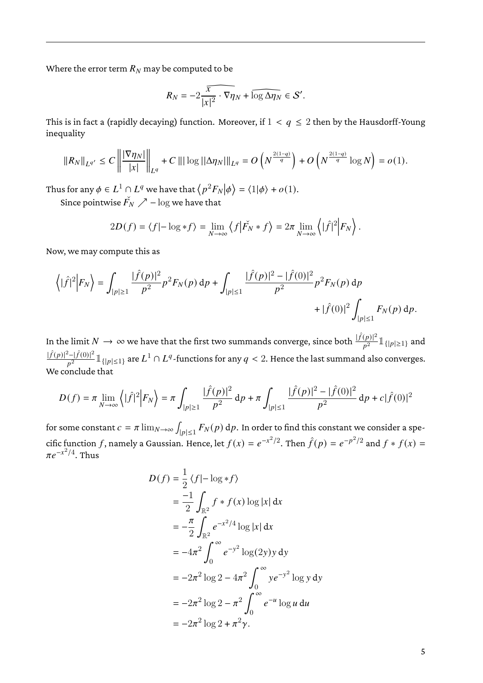Where the error term  $R_N$  may be computed to be

$$
R_N = -2\widehat{\frac{x}{|x|^2} \cdot \nabla \eta_N} + \widehat{\log \Delta \eta_N} \in \mathcal{S}'.
$$

This is in fact a (rapidly decaying) function. Moreover, if  $1 < q \le 2$  then by the Hausdorff-Young inequality

$$
||R_N||_{L^{q'}} \leq C \left\| \frac{|\nabla \eta_N|}{|x|} \right\|_{L^q} + C \left\| |\log(|\Delta \eta_N| \right\|_{L^q} = O\left(N^{\frac{2(1-q)}{q}}\right) + O\left(N^{\frac{2(1-q)}{q}}\log N\right) = o(1).
$$

Thus for any  $\phi \in L^1 \cap L^q$  we have that  $\left\langle p^2 F_N \middle| \phi \right\rangle = \langle 1 | \phi \rangle + o(1)$ .

Since pointwise  $\check{F_N} \nearrow -\log$  we have that

$$
2D(f) = \langle f | - \log * f \rangle = \lim_{N \to \infty} \langle f | \check{F}_N * f \rangle = 2\pi \lim_{N \to \infty} \langle | \hat{f} |^2 | F_N \rangle.
$$

Now, we may compute this as

$$
\left\langle |\hat{f}|^2 \Big| F_N \right\rangle = \int_{|p| \ge 1} \frac{|\hat{f}(p)|^2}{p^2} p^2 F_N(p) \, \mathrm{d}p + \int_{|p| \le 1} \frac{|\hat{f}(p)|^2 - |\hat{f}(0)|^2}{p^2} p^2 F_N(p) \, \mathrm{d}p + |\hat{f}(0)|^2 \int_{|p| \le 1} F_N(p) \, \mathrm{d}p.
$$

In the limit  $N\to\infty$  we have that the first two summands converge, since both  $\frac{|\hat f(p)|^2}{p^2}1\!\!1_{\{|p|\geq 1\}}$  and  $|\hat{f}(p)|^2 - |\hat{f}(0)|^2$  $\frac{2^2-|f(0)|^2}{p^2}1\!\!1_{\{|p|\leq 1\}}$  are  $L^1\cap L^q$  -functions for any  $q< 2.$  Hence the last summand also converges. We conclude that

$$
D(f) = \pi \lim_{N \to \infty} \left\langle |\hat{f}|^2 \Big| F_N \right\rangle = \pi \int_{|p| \ge 1} \frac{|\hat{f}(p)|^2}{p^2} \, \mathrm{d}p + \pi \int_{|p| \le 1} \frac{|\hat{f}(p)|^2 - |\hat{f}(0)|^2}{p^2} \, \mathrm{d}p + c|\hat{f}(0)|^2
$$

for some constant  $c = \pi \lim_{N \to \infty} \int_{|n| < 1} F_N(p) \, \mathrm{d}p.$  In order to find this constant we consider a spe- $|p| \leq 1$ cific function  $f$ , namely a Gaussian. Hence, let  $f(x) = e^{-x^2/2}$ . Then  $\hat{f}(p) = e^{-p^2/2}$  and  $f * f(x) =$  $\pi e^{-x^2/4}$ . Thus

$$
D(f) = \frac{1}{2} \langle f | - \log * f \rangle
$$
  
=  $\frac{-1}{2} \int_{\mathbb{R}^2} f * f(x) \log |x| dx$   
=  $-\frac{\pi}{2} \int_{\mathbb{R}^2} e^{-x^2/4} \log |x| dx$   
=  $-4\pi^2 \int_0^\infty e^{-y^2} \log(2y) y dy$   
=  $-2\pi^2 \log 2 - 4\pi^2 \int_0^\infty y e^{-y^2} \log y dy$   
=  $-2\pi^2 \log 2 - \pi^2 \int_0^\infty e^{-u} \log u du$   
=  $-2\pi^2 \log 2 + \pi^2 \gamma$ .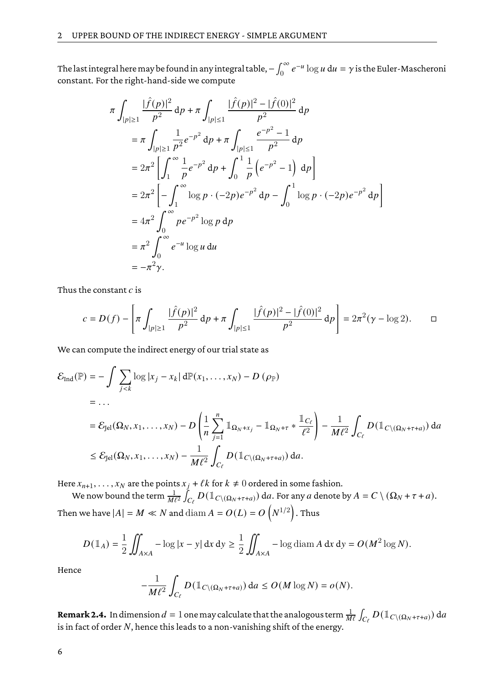The last integral here may be found in any integral table,  $-\int_0^\infty e^{-u}\log u\,\mathrm{d}u=\gamma$  is the Euler-Mascheroni constant. For the right-hand-side we compute

$$
\pi \int_{|p| \ge 1} \frac{|\hat{f}(p)|^2}{p^2} dp + \pi \int_{|p| \le 1} \frac{|\hat{f}(p)|^2 - |\hat{f}(0)|^2}{p^2} dp
$$
  
\n
$$
= \pi \int_{|p| \ge 1} \frac{1}{p^2} e^{-p^2} dp + \pi \int_{|p| \le 1} \frac{e^{-p^2} - 1}{p^2} dp
$$
  
\n
$$
= 2\pi^2 \left[ \int_1^{\infty} \frac{1}{p} e^{-p^2} dp + \int_0^1 \frac{1}{p} (e^{-p^2} - 1) dp \right]
$$
  
\n
$$
= 2\pi^2 \left[ - \int_1^{\infty} \log p \cdot (-2p) e^{-p^2} dp - \int_0^1 \log p \cdot (-2p) e^{-p^2} dp \right]
$$
  
\n
$$
= 4\pi^2 \int_0^{\infty} p e^{-p^2} \log p dp
$$
  
\n
$$
= \pi^2 \int_0^{\infty} e^{-u} \log u du
$$
  
\n
$$
= -\pi^2 \gamma.
$$

Thus the constant  $c$  is

$$
c = D(f) - \left[ \pi \int_{|p| \ge 1} \frac{|\hat{f}(p)|^2}{p^2} \, \mathrm{d}p + \pi \int_{|p| \le 1} \frac{|\hat{f}(p)|^2 - |\hat{f}(0)|^2}{p^2} \, \mathrm{d}p \right] = 2\pi^2 (\gamma - \log 2). \qquad \Box
$$

We can compute the indirect energy of our trial state as

$$
\mathcal{E}_{\text{Ind}}(\mathbb{P}) = -\int \sum_{j < k} \log |x_j - x_k| \, d\mathbb{P}(x_1, \dots, x_N) - D(\rho_{\mathbb{P}})
$$
\n
$$
= \dots
$$
\n
$$
= \mathcal{E}_{\text{Jel}}(\Omega_N, x_1, \dots, x_N) - D\left(\frac{1}{n} \sum_{j=1}^n \mathbb{1}_{\Omega_N + x_j} - \mathbb{1}_{\Omega_N + \tau} * \frac{\mathbb{1}_{C_\ell}}{\ell^2}\right) - \frac{1}{M\ell^2} \int_{C_\ell} D(\mathbb{1}_{C \setminus (\Omega_N + \tau + a)}) \, da
$$
\n
$$
\leq \mathcal{E}_{\text{Jel}}(\Omega_N, x_1, \dots, x_N) - \frac{1}{M\ell^2} \int_{C_\ell} D(\mathbb{1}_{C \setminus (\Omega_N + \tau + a)}) \, da.
$$

Here  $x_{n+1}, \ldots, x_N$  are the points  $x_j + \ell k$  for  $k \neq 0$  ordered in some fashion.

We now bound the term  $\frac{1}{M\ell^2}\int_{C_\ell}D(\mathbbm{1}_{C\setminus(\Omega_N+\tau+a)})\,\mathrm{d} a.$  For any  $a$  denote by  $A=C\setminus(\Omega_N+\tau+a).$ Then we have  $|A|=M \ll N$  and  $\operatorname{diam} A = O(L) = O\left(N^{1/2}\right).$  Thus

$$
D(\mathbb{1}_A) = \frac{1}{2} \iint_{A \times A} -\log|x - y| \, \mathrm{d}x \, \mathrm{d}y \ge \frac{1}{2} \iint_{A \times A} -\log \operatorname{diam} A \, \mathrm{d}x \, \mathrm{d}y = O(M^2 \log N).
$$

Hence

$$
-\frac{1}{M\ell^2} \int_{C_{\ell}} D(\mathbb{1}_{C \setminus (\Omega_N + \tau + a)}) \, \mathrm{d}a \le O(M \log N) = o(N).
$$

**Remark 2.4.** In dimension  $d=1$  one may calculate that the analogous term  $\frac{1}{M\ell}\int_{C_\ell}D(\mathbbm{1}_{C\setminus(\Omega_N+\tau+a)})\,\mathrm{d}a$ is in fact of order  $N$ , hence this leads to a non-vanishing shift of the energy.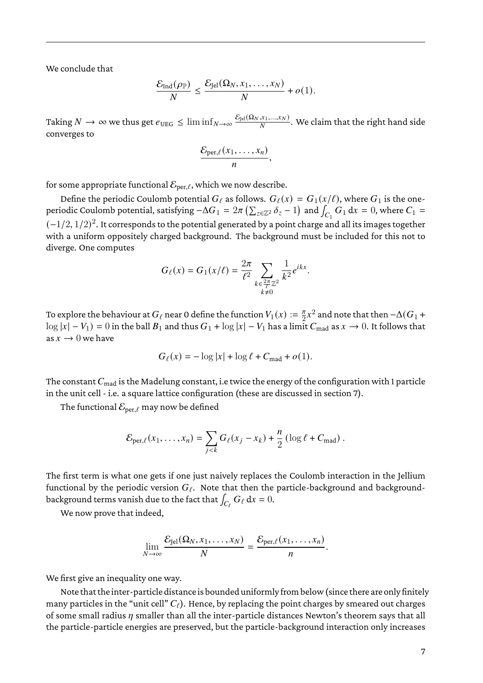We conclude that

$$
\frac{\mathcal{E}_{\text{Ind}}(\rho_{\mathbb{P}})}{N} \leq \frac{\mathcal{E}_{\text{Jel}}(\Omega_N, x_1, \dots, x_N)}{N} + o(1).
$$

Taking  $N\to\infty$  we thus get  $e_{\text{UEG}}\leq\liminf_{N\to\infty}\frac{\mathcal{E}_{\text{Jel}}(\Omega_N,x_1,...,x_N)}{N}$  $\frac{1}{N}$ . We claim that the right hand side converges to

$$
\frac{\mathcal{E}_{\text{per},\ell}(x_1,\ldots,x_n)}{n},
$$

for some appropriate functional  $\mathcal{E}_{\text{per},\ell}$ , which we now describe.

Define the periodic Coulomb potential  $G_\ell$  as follows.  $G_\ell(x) = G_1(x/\ell)$ , where  $G_1$  is the oneperiodic Coulomb potential, satisfying  $-\Delta G_1 = 2\pi \left(\sum_{z\in\mathbb{Z}^2}\delta_z - 1\right)$  and  $\int_{C_1}G_1\,dx = 0$ , where  $C_1 =$  $(-1/2,1/2)^2.$  It corresponds to the potential generated by a point charge and all its images together with a uniform oppositely charged background. The background must be included for this not to diverge. One computes

$$
G_{\ell}(x) = G_1(x/\ell) = \frac{2\pi}{\ell^2} \sum_{\substack{k \in \frac{2\pi}{\ell} \mathbb{Z}^2 \\ k \neq 0}} \frac{1}{k^2} e^{ikx}.
$$

To explore the behaviour at  $G_\ell$  near 0 define the function  $V_1(x) := \frac{\pi}{2}$  $\frac{\pi}{2}x^2$  and note that then  $-\Delta(G_1+$  $\log |x| - V_1$  = 0 in the ball  $B_1$  and thus  $G_1 + \log |x| - V_1$  has a limit  $C_{\text{mad}}$  as  $x \to 0$ . It follows that as  $x \to 0$  we have

$$
G_{\ell}(x) = -\log|x| + \log \ell + C_{\text{mad}} + o(1).
$$

The constant  $C_{\text{mad}}$  is the Madelung constant, i.e twice the energy of the configuration with 1 particle in the unit cell - i.e. a square lattice configuration (these are discussed in section [7\)](#page-18-0).

The functional  $\mathcal{E}_{\text{per},\ell}$  may now be defined

$$
\mathcal{E}_{\text{per},\ell}(x_1,\ldots,x_n)=\sum_{j
$$

The first term is what one gets if one just naively replaces the Coulomb interaction in the Jellium functional by the periodic version  $G_{\ell}$ . Note that then the particle-background and backgroundbackground terms vanish due to the fact that  $\int_{C_\ell} G_\ell \, \mathrm{d} x = 0.$ 

We now prove that indeed,

$$
\lim_{N\to\infty}\frac{\mathcal{E}_{\text{Jel}}(\Omega_N,x_1,\ldots,x_N)}{N}=\frac{\mathcal{E}_{\text{per},\ell}(x_1,\ldots,x_n)}{n}.
$$

We first give an inequality one way.

Note that theinter-particle distanceis bounded uniformlyfrom below (since there are only finitely many particles in the "unit cell"  $C_{\ell}$ ). Hence, by replacing the point charges by smeared out charges of some small radius  $\eta$  smaller than all the inter-particle distances Newton's theorem says that all the particle-particle energies are preserved, but the particle-background interaction only increases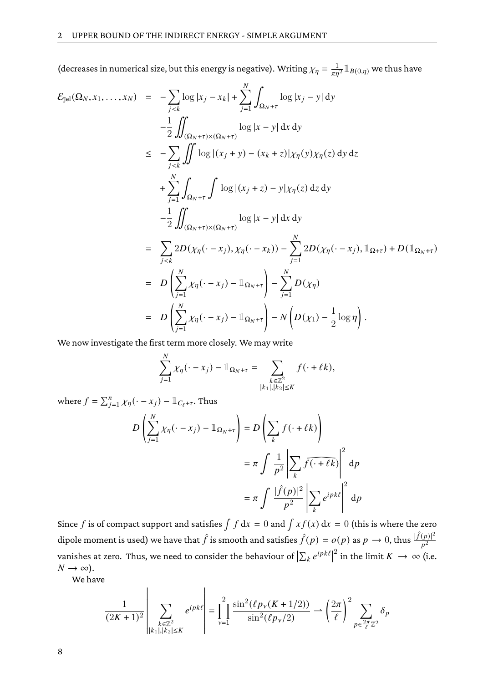(decreases in numerical size, but this energy is negative). Writing  $\chi_{\eta} = \frac{1}{\pi n^2} \mathbb{1}_{B(0,\eta)}$  we thus have

$$
\mathcal{E}_{\text{Jel}}(\Omega_N, x_1, \dots, x_N) = -\sum_{j < k} \log |x_j - x_k| + \sum_{j=1}^N \int_{\Omega_N + \tau} \log |x_j - y| \, \mathrm{d}y \n- \frac{1}{2} \iint_{(\Omega_N + \tau) \times (\Omega_N + \tau)} \log |x - y| \, \mathrm{d}x \, \mathrm{d}y \n\leq -\sum_{j < k} \iint \log |(x_j + y) - (x_k + z)| \chi_{\eta}(y) \chi_{\eta}(z) \, \mathrm{d}y \, \mathrm{d}z \n+ \sum_{j=1}^N \int_{\Omega_N + \tau} \int \log |(x_j + z) - y| \chi_{\eta}(z) \, \mathrm{d}z \, \mathrm{d}y \n- \frac{1}{2} \iint_{(\Omega_N + \tau) \times (\Omega_N + \tau)} \log |x - y| \, \mathrm{d}x \, \mathrm{d}y \n= \sum_{j < k} 2D(\chi_{\eta}(\cdot - x_j), \chi_{\eta}(\cdot - x_k)) - \sum_{j=1}^N 2D(\chi_{\eta}(\cdot - x_j), \mathbb{1}_{\Omega + \tau}) + D(\mathbb{1}_{\Omega_N + \tau}) \n= D \left( \sum_{j=1}^N \chi_{\eta}(\cdot - x_j) - \mathbb{1}_{\Omega_N + \tau} \right) - \sum_{j=1}^N D(\chi_{\eta}) \n= D \left( \sum_{j=1}^N \chi_{\eta}(\cdot - x_j) - \mathbb{1}_{\Omega_N + \tau} \right) - N \left( D(\chi_1) - \frac{1}{2} \log \eta \right).
$$

We now investigate the first term more closely. We may write

$$
\sum_{j=1}^N \chi_{\eta}(\cdot - x_j) - \mathbb{1}_{\Omega_N + \tau} = \sum_{\substack{k \in \mathbb{Z}^2 \\ |k_1|, |k_2| \le K}} f(\cdot + \ell k),
$$

where  $f = \sum_{j=1}^{n} \chi_{\eta}(\cdot - x_j) - \mathbb{1}_{C_{\ell} + \tau}$ . Thus

$$
D\left(\sum_{j=1}^{N} \chi_{\eta}(\cdot - x_j) - \mathbb{1}_{\Omega_N + \tau}\right) = D\left(\sum_{k} f(\cdot + \ell k)\right)
$$
  

$$
= \pi \int \frac{1}{p^2} \left|\sum_{k} \widehat{f(\cdot + \ell k)}\right|^2 d p
$$
  

$$
= \pi \int \frac{|\widehat{f}(p)|^2}{p^2} \left|\sum_{k} e^{ipk\ell} \right|^2 d p
$$

Since f is of compact support and satisfies  $\int f dx = 0$  and  $\int x f(x) dx = 0$  (this is where the zero dipole moment is used) we have that  $\hat f$  is smooth and satisfies  $\hat f(p)=o(p)$  as  $p\to 0$ , thus  $\frac{|\hat f(p)|^2}{p^2}$ vanishes at zero. Thus, we need to consider the behaviour of  $\left|\sum_{k} e^{ipk\ell}\right|$ <sup>2</sup> in the limit  $K \to \infty$  (i.e.  $N \rightarrow \infty$ ).

We have

$$
\frac{1}{(2K+1)^2} \left| \sum_{\substack{k \in \mathbb{Z}^2 \\ |k_1|, |k_2| \le K}} e^{ipk\ell} \right| = \prod_{\nu=1}^2 \frac{\sin^2(\ell p_\nu (K+1/2))}{\sin^2(\ell p_\nu/2)} \longrightarrow \left(\frac{2\pi}{\ell}\right)^2 \sum_{p \in \frac{2\pi}{\ell} \mathbb{Z}^2} \delta_p
$$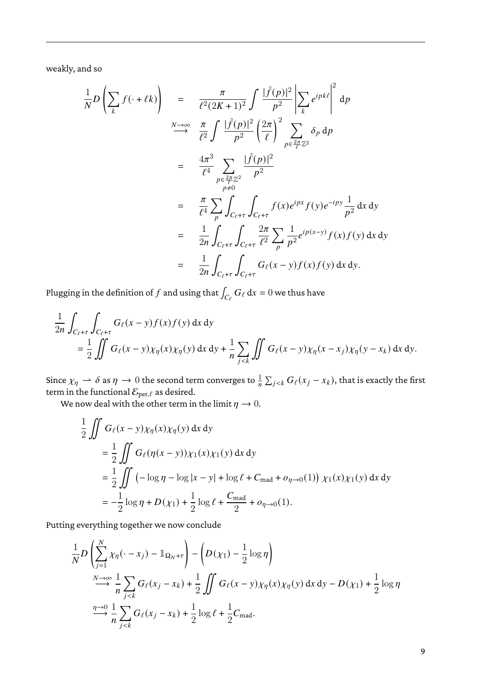weakly, and so

$$
\frac{1}{N}D\left(\sum_{k} f(\cdot + \ell k)\right) = \frac{\pi}{\ell^2 (2K+1)^2} \int \frac{|\hat{f}(p)|^2}{p^2} \left|\sum_{k} e^{ipk\ell}\right|^2 dp
$$
\n
$$
\xrightarrow{N \to \infty} \frac{\pi}{\ell^2} \int \frac{|\hat{f}(p)|^2}{p^2} \left(\frac{2\pi}{\ell}\right)^2 \sum_{p \in \frac{2\pi}{\ell} \mathbb{Z}^2} \delta_p dp
$$
\n
$$
= \frac{4\pi^3}{\ell^4} \sum_{\substack{p \in \frac{2\pi}{\ell} \mathbb{Z}^2 \\ p \neq 0}} \frac{|\hat{f}(p)|^2}{p^2}
$$
\n
$$
= \frac{\pi}{\ell^4} \sum_{p} \int_{C_{\ell} + \tau} \int_{C_{\ell} + \tau} f(x) e^{ipx} f(y) e^{-ipy} \frac{1}{p^2} dx dy
$$
\n
$$
= \frac{1}{2n} \int_{C_{\ell} + \tau} \int_{C_{\ell} + \tau} \frac{2\pi}{\ell^2} \sum_{p} \frac{1}{p^2} e^{ip(x-y)} f(x) f(y) dx dy
$$
\n
$$
= \frac{1}{2n} \int_{C_{\ell} + \tau} \int_{C_{\ell} + \tau} G_{\ell}(x - y) f(x) f(y) dx dy.
$$

Plugging in the definition of  $f$  and using that  $\int_{C_\ell} G_\ell \, \mathrm{d} x = 0$  we thus have

$$
\frac{1}{2n} \int_{C_{\ell} + \tau} \int_{C_{\ell} + \tau} G_{\ell}(x - y) f(x) f(y) dx dy
$$
  
= 
$$
\frac{1}{2} \iint G_{\ell}(x - y) \chi_{\eta}(x) \chi_{\eta}(y) dx dy + \frac{1}{n} \sum_{j < k} \iint G_{\ell}(x - y) \chi_{\eta}(x - x_j) \chi_{\eta}(y - x_k) dx dy.
$$

Since  $\chi_\eta\rightharpoonup\delta$  as  $\eta\to 0$  the second term converges to  $\frac{1}{n}\sum_{j, that is exactly the first$ term in the functional  $\mathcal{E}_{\mathrm{per},\ell}$  as desired.

We now deal with the other term in the limit  $\eta \to 0$ .

$$
\frac{1}{2} \iint G_{\ell}(x - y) \chi_{\eta}(x) \chi_{\eta}(y) dx dy
$$
\n
$$
= \frac{1}{2} \iint G_{\ell}(\eta(x - y)) \chi_{1}(x) \chi_{1}(y) dx dy
$$
\n
$$
= \frac{1}{2} \iint (-\log \eta - \log |x - y| + \log \ell + C_{\text{mad}} + o_{\eta \to 0}(1)) \chi_{1}(x) \chi_{1}(y) dx dy
$$
\n
$$
= -\frac{1}{2} \log \eta + D(\chi_{1}) + \frac{1}{2} \log \ell + \frac{C_{\text{mad}}}{2} + o_{\eta \to 0}(1).
$$

Putting everything together we now conclude

$$
\frac{1}{N}D\left(\sum_{j=1}^{N} \chi_{\eta}(\cdot - x_j) - \mathbb{1}_{\Omega_N + \tau}\right) - \left(D(\chi_1) - \frac{1}{2}\log \eta\right)
$$
\n
$$
\xrightarrow[N \to \infty]{N \to \infty} \frac{1}{n} \sum_{j < k} G_{\ell}(x_j - x_k) + \frac{1}{2} \iint G_{\ell}(x - y) \chi_{\eta}(x) \chi_{\eta}(y) dx dy - D(\chi_1) + \frac{1}{2}\log \eta
$$
\n
$$
\xrightarrow[\eta \to 0]{\eta \to 0} \frac{1}{n} \sum_{j < k} G_{\ell}(x_j - x_k) + \frac{1}{2}\log \ell + \frac{1}{2}C_{\text{mad}}.
$$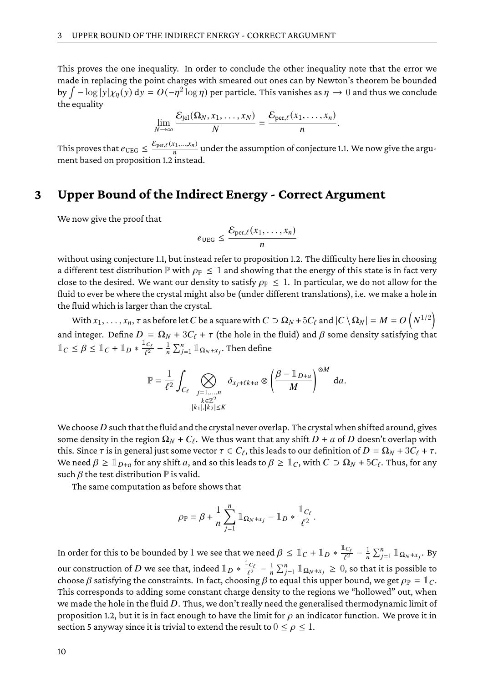This proves the one inequality. In order to conclude the other inequality note that the error we made in replacing the point charges with smeared out ones can by Newton's theorem be bounded by  $\int -\log |y| \chi_{\eta}(y) \, \text{d}y = O(-\eta^2 \log \eta)$  per particle. This vanishes as  $\eta \to 0$  and thus we conclude the equality

$$
\lim_{N\to\infty}\frac{\mathcal{E}_{\text{Jel}}(\Omega_N,x_1,\ldots,x_N)}{N}=\frac{\mathcal{E}_{\text{per},\ell}(x_1,\ldots,x_n)}{n}.
$$

This proves that  $e_{\text{UEG}} \leq \frac{\mathcal{E}_{\text{per},\ell}(x_1,...,x_n)}{n}$  $\frac{N_{1},...,N_{n}}{n}$  under the assumption of conjecture [1.1.](#page-1-0) We now give the argument based on proposition [1.2](#page-1-1) instead.

### <span id="page-9-0"></span>**3 Upper Bound of the Indirect Energy - Correct Argument**

We now give the proof that

$$
e_{\text{UEG}} \leq \frac{\mathcal{E}_{\text{per},\ell}(x_1,\ldots,x_n)}{n}
$$

without using conjecture [1.1,](#page-1-0) but instead refer to proposition [1.2.](#page-1-1) The difficulty here lies in choosing a different test distribution  $\mathbb P$  with  $\rho_{\mathbb P} \leq 1$  and showing that the energy of this state is in fact very close to the desired. We want our density to satisfy  $\rho_{\mathbb{P}} \leq 1$ . In particular, we do not allow for the fluid to ever be where the crystal might also be (under different translations), i.e. we make a hole in the fluid which is larger than the crystal.

With  $x_1,\ldots,x_n,\tau$  as before let  $C$  be a square with  $C\supset \Omega_N+5C_\ell$  and  $|C\setminus \Omega_N|=M=O\left(N^{1/2}\right)$ and integer. Define  $D = \Omega_N + 3C_\ell + \tau$  (the hole in the fluid) and  $\beta$  some density satisfying that  $\mathbb{1}_C \leq \beta \leq \mathbb{1}_C + \mathbb{1}_D * \frac{\mathbb{1}_{C_f}}{\beta}$  $\frac{1_C}{\ell^2}-\frac{1}{n}\sum_{j=1}^n{\mathbbm{1}_{\Omega_N\text{+}x_j}}.$  Then define

$$
\mathbb{P} = \frac{1}{\ell^2} \int_{C_{\ell}} \bigotimes_{\substack{j=1,\ldots,n \\ k \in \mathbb{Z}^2 \\ |k_1|, |k_2| \le K}} \delta_{x_j + \ell k + a} \otimes \left(\frac{\beta - \mathbb{1}_{D + a}}{M}\right)^{\otimes M} da.
$$

We choose  $D$  such that the fluid and the crystal never overlap. The crystal when shifted around, gives some density in the region  $\Omega_N + C_\ell$ . We thus want that any shift  $D + a$  of  $D$  doesn't overlap with this. Since  $\tau$  is in general just some vector  $\tau \in C_{\ell}$ , this leads to our definition of  $D = \Omega_N + 3C_{\ell} + \tau$ . We need  $\beta \geq \mathbb{1}_{D+a}$  for any shift a, and so this leads to  $\beta \geq \mathbb{1}_C$ , with  $C \supset \Omega_N + 5C_\ell$ . Thus, for any such  $\beta$  the test distribution  $\mathbb P$  is valid.

The same computation as before shows that

$$
\rho_{\mathbb{P}} = \beta + \frac{1}{n} \sum_{j=1}^n \mathbb{1}_{\Omega_N + x_j} - \mathbb{1}_D * \frac{\mathbb{1}_{C_\ell}}{\ell^2}.
$$

In order for this to be bounded by  $1$  we see that we need  $\beta \leq \mathbbm{1}_C + \mathbbm{1}_D * \frac{\mathbbm{1}_{C_1}}{\sqrt{2}}$  $\frac{1}{\ell^2}$  –  $\frac{1}{n} \sum_{j=1}^n \mathbb{1}_{\Omega_N + x_j}$ . By our construction of  $D$  we see that, indeed  $\mathbb{1}_D * \frac{\mathbb{1}_{C_\ell}}{\ell^2}$  $\frac{d^2C_\ell}{\ell^2} - \frac{1}{n}\sum_{j=1}^n \mathbb{1}_{\Omega_N+x_j} \geq 0$ , so that it is possible to choose  $\beta$  satisfying the constraints. In fact, choosing  $\beta$  to equal this upper bound, we get  $\rho_{\mathbb{P}} = \mathbb{I}_C$ . This corresponds to adding some constant charge density to the regions we "hollowed" out, when we made the hole in the fluid  $D$ . Thus, we don't really need the generalised thermodynamic limit of proposition [1.2,](#page-1-1) but it is in fact enough to have the limit for  $\rho$  an indicator function. We prove it in section [5](#page-15-0) anyway since it is trivial to extend the result to  $0 \le \rho \le 1$ .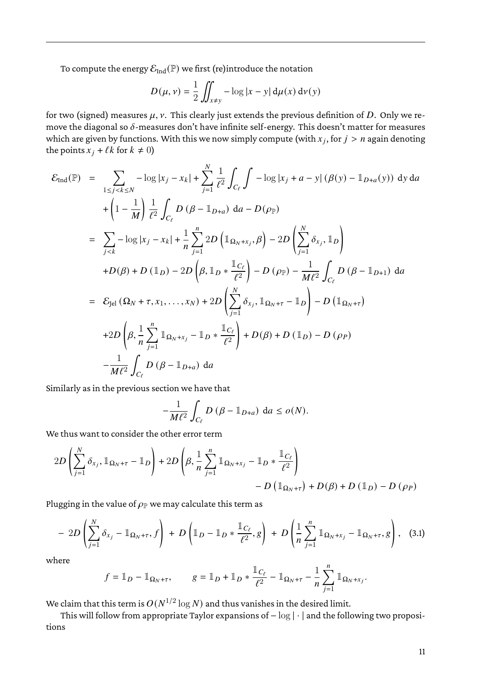To compute the energy  $\mathcal{E}_{Ind}(\mathbb{P})$  we first (re)introduce the notation

$$
D(\mu, \nu) = \frac{1}{2} \iint_{x \neq y} -\log|x - y| d\mu(x) d\nu(y)
$$

for two (signed) measures  $\mu$ ,  $\nu$ . This clearly just extends the previous definition of D. Only we remove the diagonal so  $\delta$ -measures don't have infinite self-energy. This doesn't matter for measures which are given by functions. With this we now simply compute (with  $x_j$ , for  $j > n$  again denoting the points  $x_j + \ell k$  for  $k \neq 0$ )

$$
\mathcal{E}_{\text{Ind}}(\mathbb{P}) = \sum_{1 \le j < k \le N} -\log |x_j - x_k| + \sum_{j=1}^N \frac{1}{\ell^2} \int_{C_\ell} \int -\log |x_j + a - y| (\beta(y) - \mathbb{1}_{D+a}(y)) \, dy \, da
$$
\n
$$
+ \left(1 - \frac{1}{M}\right) \frac{1}{\ell^2} \int_{C_\ell} D (\beta - \mathbb{1}_{D+a}) \, da - D(\rho_{\mathbb{P}})
$$
\n
$$
= \sum_{j < k} -\log |x_j - x_k| + \frac{1}{n} \sum_{j=1}^n 2D (\mathbb{1}_{\Omega_N + x_j}, \beta) - 2D \left(\sum_{j=1}^N \delta_{x_j}, \mathbb{1}_D\right)
$$
\n
$$
+ D(\beta) + D (\mathbb{1}_D) - 2D (\beta, \mathbb{1}_D * \frac{\mathbb{1}_{C_\ell}}{\ell^2}) - D(\rho_{\mathbb{P}}) - \frac{1}{M\ell^2} \int_{C_\ell} D (\beta - \mathbb{1}_{D+1}) \, da
$$
\n
$$
= \mathcal{E}_{\text{Jel}} (\Omega_N + \tau, x_1, \dots, x_N) + 2D \left(\sum_{j=1}^N \delta_{x_j}, \mathbb{1}_{\Omega_N + \tau} - \mathbb{1}_D\right) - D (\mathbb{1}_{\Omega_N + \tau})
$$
\n
$$
+ 2D \left(\beta, \frac{1}{n} \sum_{j=1}^n \mathbb{1}_{\Omega_N + x_j} - \mathbb{1}_D * \frac{\mathbb{1}_{C_\ell}}{\ell^2}\right) + D(\beta) + D (\mathbb{1}_D) - D(\rho_P)
$$
\n
$$
- \frac{1}{M\ell^2} \int_{C_\ell} D (\beta - \mathbb{1}_{D+a}) \, da
$$

Similarly as in the previous section we have that

<span id="page-10-1"></span>
$$
-\frac{1}{M\ell^2}\int_{C_{\ell}}D\left(\beta-\mathbb{1}_{D+a}\right) da\leq o(N).
$$

We thus want to consider the other error term

$$
2D\left(\sum_{j=1}^{N} \delta_{x_j}, \mathbb{1}_{\Omega_N + \tau} - \mathbb{1}_D\right) + 2D\left(\beta, \frac{1}{n} \sum_{j=1}^{n} \mathbb{1}_{\Omega_N + x_j} - \mathbb{1}_D * \frac{\mathbb{1}_{C_{\ell}}}{\ell^2}\right) - D\left(\mathbb{1}_{\Omega_N + \tau}\right) + D(\beta) + D\left(\mathbb{1}_D\right) - D\left(\rho_P\right)
$$

Plugging in the value of  $\rho_{\mathbb{P}}$  we may calculate this term as

$$
-2D\left(\sum_{j=1}^N \delta_{x_j} - \mathbb{1}_{\Omega_N + \tau}, f\right) + D\left(\mathbb{1}_D - \mathbb{1}_D * \frac{\mathbb{1}_{C_\ell}}{\ell^2}, g\right) + D\left(\frac{1}{n}\sum_{j=1}^n \mathbb{1}_{\Omega_N + x_j} - \mathbb{1}_{\Omega_N + \tau}, g\right), \quad (3.1)
$$

where

$$
f = \mathbb{1}_D - \mathbb{1}_{\Omega_N + \tau}, \qquad g = \mathbb{1}_D + \mathbb{1}_D * \frac{\mathbb{1}_{C_\ell}}{\ell^2} - \mathbb{1}_{\Omega_N + \tau} - \frac{1}{n} \sum_{j=1}^n \mathbb{1}_{\Omega_N + x_j}.
$$

We claim that this term is  $O(N^{1/2}\log N)$  and thus vanishes in the desired limit.

<span id="page-10-0"></span>This will follow from appropriate Taylor expansions of − log | · | and the following two propositions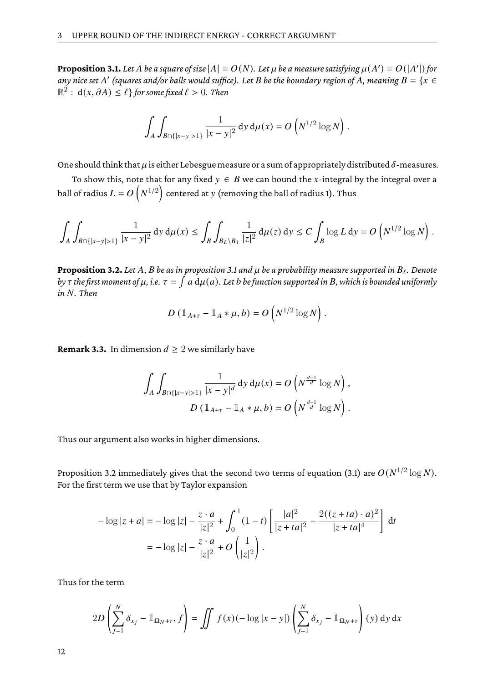**Proposition 3.1.** Let A be a square of size  $|A| = O(N)$ . Let  $\mu$  be a measure satisfying  $\mu(A') = O(|A'|)$  for any nice set  $A'$  (squares and/or balls would suffice). Let  $B$  be the boundary region of  $A$ *, meaning*  $B = \{x \in A\}$  $\mathbb{R}^2:\,\mathrm{d} (x, \partial A)\leq \ell\}$  for some fixed  $\ell>0.$  Then

$$
\int_A \int_{B \cap \{|x-y|>1\}} \frac{1}{|x-y|^2} dy d\mu(x) = O\left(N^{1/2} \log N\right).
$$

One should think that  $\mu$  is either Lebesgue measure or a sum of appropriately distributed  $\delta$ -measures.

To show this, note that for any fixed  $y \in B$  we can bound the x-integral by the integral over a ball of radius  $L = O\left(N^{1/2}\right)$  centered at  $y$  (removing the ball of radius 1). Thus

$$
\int_A \int_{B \cap \{|x-y| > 1\}} \frac{1}{|x-y|^2} \, \mathrm{d} y \, \mathrm{d} \mu(x) \le \int_B \int_{B_L \setminus B_1} \frac{1}{|z|^2} \, \mathrm{d} \mu(z) \, \mathrm{d} y \le C \int_B \log L \, \mathrm{d} y = O\left(N^{1/2} \log N\right).
$$

<span id="page-11-0"></span>**Proposition 3.2.** Let A, B be as in proposition [3.1](#page-10-0) and  $\mu$  be a probability measure supported in  $B_{\ell}$ . Denote by  $\tau$  the first moment of  $\mu$ , i.e.  $\tau=\int a\,\mathrm{d}\mu(a)$ . Let  $b$  be function supported in  $B$ , which is bounded uniformly *in N. Then* 

$$
D\left(\mathbb{1}_{A+\tau}-\mathbb{1}_A*\mu,b\right)=O\left(N^{1/2}\log N\right).
$$

**Remark 3.3.** In dimension  $d \geq 2$  we similarly have

$$
\int_{A} \int_{B \cap \{|x-y| > 1\}} \frac{1}{|x-y|^{d}} dy d\mu(x) = O\left(N^{\frac{d-1}{d}} \log N\right),
$$
  

$$
D \left(\mathbb{1}_{A+\tau} - \mathbb{1}_{A} * \mu, b\right) = O\left(N^{\frac{d-1}{d}} \log N\right).
$$

Thus our argument also works in higher dimensions.

Proposition [3.2](#page-11-0) immediately gives that the second two terms of equation [\(3.1\)](#page-10-1) are  $O(N^{1/2}\log N).$ For the first term we use that by Taylor expansion

$$
-\log|z+a| = -\log|z| - \frac{z \cdot a}{|z|^2} + \int_0^1 (1-t) \left[ \frac{|a|^2}{|z+ta|^2} - \frac{2((z+ta) \cdot a)^2}{|z+ta|^4} \right] dt
$$

$$
= -\log|z| - \frac{z \cdot a}{|z|^2} + O\left(\frac{1}{|z|^2}\right).
$$

Thus for the term

$$
2D\left(\sum_{j=1}^N \delta_{x_j} - \mathbb{1}_{\Omega_N + \tau}, f\right) = \iint f(x) (-\log|x-y|) \left(\sum_{j=1}^N \delta_{x_j} - \mathbb{1}_{\Omega_N + \tau}\right)(y) \, dy \, dx
$$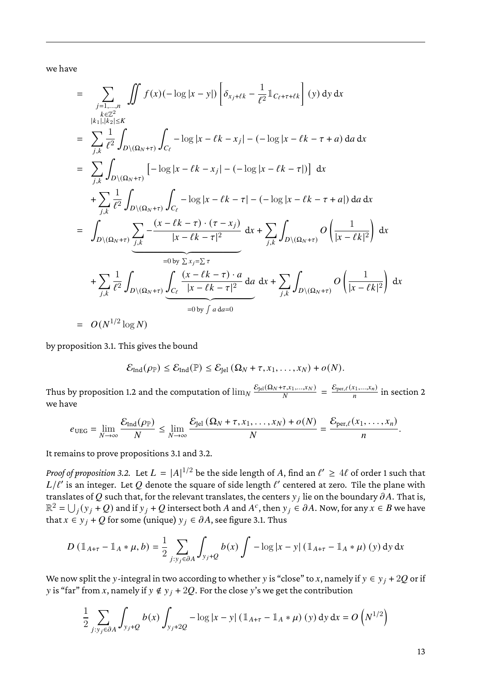we have

$$
= \sum_{\substack{j=1,...,n\\k,l|,|k_2| \le K}} \iint f(x) (-\log |x - y|) \left[ \delta_{x_j + \ell k} - \frac{1}{\ell^2} \mathbb{1}_{C_{\ell} + \tau + \ell k} \right] (y) dy dx
$$
  
\n
$$
= \sum_{j,k} \frac{1}{\ell^2} \int_{D \setminus (\Omega_N + \tau)} \int_{C_{\ell}} -\log |x - \ell k - x_j| - (-\log |x - \ell k - \tau + a) da dx
$$
  
\n
$$
= \sum_{j,k} \int_{D \setminus (\Omega_N + \tau)} [-\log |x - \ell k - x_j| - (-\log |x - \ell k - \tau + a]) dx
$$
  
\n
$$
+ \sum_{j,k} \frac{1}{\ell^2} \int_{D \setminus (\Omega_N + \tau)} \int_{C_{\ell}} -\log |x - \ell k - \tau| - (-\log |x - \ell k - \tau + a|) da dx
$$
  
\n
$$
= \int_{D \setminus (\Omega_N + \tau)} \sum_{j,k} \frac{-(x - \ell k - \tau) \cdot (\tau - x_j)}{|x - \ell k - \tau|^2} dx + \sum_{j,k} \int_{D \setminus (\Omega_N + \tau)} O\left(\frac{1}{|x - \ell k|^2}\right) dx
$$
  
\n
$$
= \int_{\frac{1}{\ell^2}} \int_{D \setminus (\Omega_N + \tau)} \underbrace{\int_{C_{\ell}} \frac{(x - \ell k - \tau) \cdot a}{|x - \ell k - \tau|^2}}_{=0 \text{ by } \int a da = 0} da dx + \sum_{j,k} \int_{D \setminus (\Omega_N + \tau)} O\left(\frac{1}{|x - \ell k|^2}\right) dx
$$
  
\n
$$
= O(N^{1/2} \log N)
$$

by proposition [3.1.](#page-10-0) This gives the bound

$$
\mathcal{E}_{\text{Ind}}(\rho_{\mathbb{P}}) \leq \mathcal{E}_{\text{Ind}}(\mathbb{P}) \leq \mathcal{E}_{\text{Jel}}(\Omega_N + \tau, x_1, \dots, x_N) + o(N).
$$

Thus by proposition [1.2](#page-1-1) and the computation of  $\lim_N \frac{\mathcal{E}_{\rm Jel}(\Omega_N+\tau,x_1,...,x_N)}{N}$  $\frac{\tau_{x_1,...,x_N}}{N} = \frac{\mathcal{E}_{\text{per},\ell}(x_1,...,x_n)}{n}$  $\frac{1}{n}$  in section [2](#page-2-0) we have

$$
e_{\text{UEG}} = \lim_{N \to \infty} \frac{\mathcal{E}_{\text{Ind}}(\rho_{\mathbb{P}})}{N} \leq \lim_{N \to \infty} \frac{\mathcal{E}_{\text{Jel}}(\Omega_N + \tau, x_1, \dots, x_N) + o(N)}{N} = \frac{\mathcal{E}_{\text{per},\ell}(x_1, \dots, x_n)}{n}.
$$

It remains to prove propositions [3.1](#page-10-0) and [3.2.](#page-11-0)

*Proof of proposition [3.2.](#page-11-0)* Let  $L = |A|^{1/2}$  be the side length of  $A$ , find an  $\ell' \geq 4\ell$  of order 1 such that  $L/\ell'$  is an integer. Let  $Q$  denote the square of side length  $\ell'$  centered at zero. Tile the plane with translates of  $Q$  such that, for the relevant translates, the centers  ${\rm y}_j$  lie on the boundary  $\partial A.$  That is,  $\mathbb{R}^2=\bigcup_j(\overline{y}_j+\overline{Q})$  and if  $\overline{y}_j+Q$  intersect both  $A$  and  $A^c$ , then  $\overline{y}_j\in \partial A$ . Now, for any  $x\in B$  we have that  $x \in y_i + Q$  for some (unique)  $y_i \in \partial A$ , see figure [3.1.](#page-13-0) Thus

$$
D (\mathbb{1}_{A+\tau} - \mathbb{1}_A * \mu, b) = \frac{1}{2} \sum_{j: y_j \in \partial A} \int_{y_j + Q} b(x) \int -\log |x - y| (\mathbb{1}_{A+\tau} - \mathbb{1}_A * \mu) (y) dy dx
$$

We now split the y-integral in two according to whether y is "close" to x, namely if  $y \in y_i + 2Q$  or if y is "far" from x, namely if  $y \notin y_i + 2Q$ . For the close y's we get the contribution

$$
\frac{1}{2} \sum_{j:y_j \in \partial A} \int_{y_j+Q} b(x) \int_{y_j+2Q} -\log|x-y| \left( \mathbb{1}_{A+\tau} - \mathbb{1}_A * \mu \right)(y) \, dy \, dx = O\left(N^{1/2}\right)
$$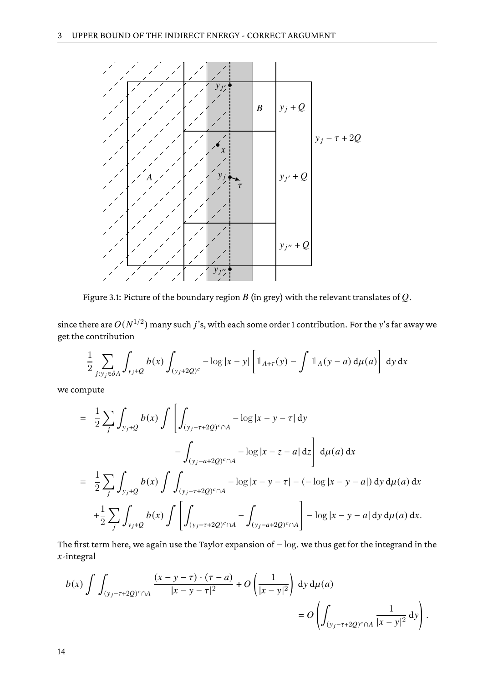

<span id="page-13-0"></span>Figure 3.1: Picture of the boundary region  $B$  (in grey) with the relevant translates of  $Q$ .

since there are  $O(N^{1/2})$  many such  $j$ 's, with each some order 1 contribution. For the  $y$ 's far away we get the contribution

$$
\frac{1}{2} \sum_{j:y_j \in \partial A} \int_{y_j+Q} b(x) \int_{(y_j+2Q)^c} -\log|x-y| \left[ \mathbb{1}_{A+\tau}(y) - \int \mathbb{1}_A(y-a) \, \mathrm{d}\mu(a) \right] \, \mathrm{d}y \, \mathrm{d}x
$$

we compute

$$
= \frac{1}{2} \sum_{j} \int_{y_{j}+Q} b(x) \int \left[ \int_{(y_{j}-\tau+2Q)^{c} \cap A} -\log |x-y-\tau| dy - \int_{(y_{j}-a+2Q)^{c} \cap A} -\log |x-z-a| dz \right] d\mu(a) dx
$$
  

$$
= \frac{1}{2} \sum_{j} \int_{y_{j}+Q} b(x) \int \int_{(y_{j}-\tau+2Q)^{c} \cap A} -\log |x-y-\tau| - (-\log |x-y-a|) dy d\mu(a) dx
$$
  

$$
+ \frac{1}{2} \sum_{j} \int_{y_{j}+Q} b(x) \int \left[ \int_{(y_{j}-\tau+2Q)^{c} \cap A} - \int_{(y_{j}-a+2Q)^{c} \cap A} \right] - \log |x-y-a| dy d\mu(a) dx.
$$

The first term here, we again use the Taylor expansion of − log. we thus get for the integrand in the  $x$ -integral

$$
b(x) \int \int_{(y_j - \tau + 2Q)^c \cap A} \frac{(x - y - \tau) \cdot (\tau - a)}{|x - y - \tau|^2} + O\left(\frac{1}{|x - y|^2}\right) dy d\mu(a)
$$
  
=  $O \left( \int_{(y_j - \tau + 2Q)^c \cap A} \frac{1}{|x - y|^2} dy \right).$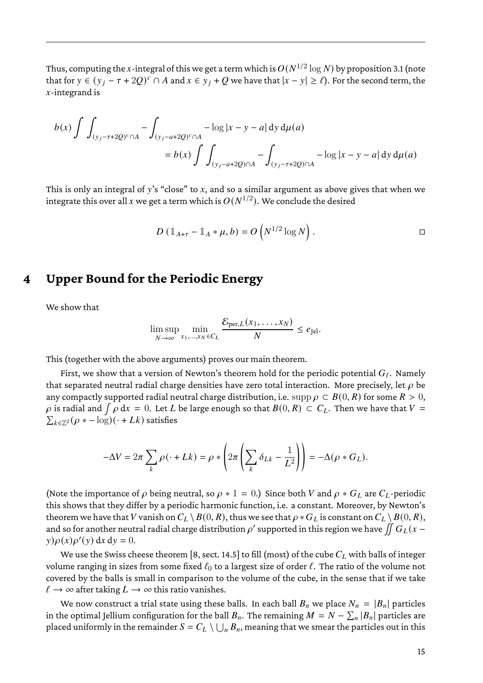Thus, computing the  $x$  -integral of this we get a term which is  $O(N^{1/2}\log N)$  by proposition [3.1](#page-10-0) (note that for  $y \in (y_i - \tau + 2Q)^c \cap A$  and  $x \in y_i + Q$  we have that  $|x - y| \ge \ell$ ). For the second term, the  $x$ -integrand is

$$
b(x) \int \int_{(y_j - \tau + 2Q)^c \cap A} - \int_{(y_j - a + 2Q)^c \cap A} - \log |x - y - a| \, dy \, d\mu(a)
$$
  
=  $b(x) \int \int_{(y_j - a + 2Q) \cap A} - \int_{(y_j - \tau + 2Q) \cap A} - \log |x - y - a| \, dy \, d\mu(a)$ 

This is only an integral of y's "close" to  $x$ , and so a similar argument as above gives that when we integrate this over all  $x$  we get a term which is  $O(N^{1/2}).$  We conclude the desired

$$
D\left(\mathbb{1}_{A+\tau}-\mathbb{1}_A*\mu,b\right)=O\left(N^{1/2}\log N\right).
$$

#### <span id="page-14-0"></span>**4 Upper Bound for the Periodic Energy**

We show that

$$
\limsup_{N \to \infty} \min_{x_1, \dots, x_N \in C_L} \frac{\mathcal{E}_{\text{per},L}(x_1, \dots, x_N)}{N} \le e_{\text{Jel}}.
$$

This (together with the above arguments) proves our main theorem.

First, we show that a version of Newton's theorem hold for the periodic potential  $G_{\ell}$ . Namely that separated neutral radial charge densities have zero total interaction. More precisely, let  $\rho$  be any compactly supported radial neutral charge distribution, i.e. supp  $\rho \subset B(0,R)$  for some  $R > 0$ ,  $\rho$  is radial and  $\int \rho\, \textup{d} x\,=\,0.$  Let  $L$  be large enough so that  $B(0,R)\, \subset\, C_L.$  Then we have that  $V$  =  $\sum_{k\in\mathbb{Z}^2}(\rho * -\log)(\cdot + Lk)$  satisfies

$$
-\Delta V = 2\pi \sum_{k} \rho(\cdot + Lk) = \rho * \left(2\pi \left(\sum_{k} \delta_{Lk} - \frac{1}{L^2}\right)\right) = -\Delta(\rho * G_L).
$$

(Note the importance of  $\rho$  being neutral, so  $\rho * 1 = 0$ .) Since both V and  $\rho * G_L$  are  $C_L$ -periodic this shows that they differ by a periodic harmonic function, i.e. a constant. Moreover, by Newton's theorem we have that  $V$  vanish on  $C_L \setminus B(0, R)$ , thus we see that  $\rho * G_L$  is constant on  $C_L \setminus B(0, R)$ , and so for another neutral radial charge distribution  $\rho'$  supported in this region we have  $\iint G_L(x-\tau)$  $y$ ) $\rho(x)\rho'(y) dx dy = 0.$ 

We use the Swiss cheese theorem [\[8,](#page-22-4) sect. 14.5] to fill (most) of the cube  $C_L$  with balls of integer volume ranging in sizes from some fixed  $\ell_0$  to a largest size of order  $\ell$ . The ratio of the volume not covered by the balls is small in comparison to the volume of the cube, in the sense that if we take  $\ell \to \infty$  after taking  $L \to \infty$  this ratio vanishes.

We now construct a trial state using these balls. In each ball  $B_n$  we place  $N_n = |B_n|$  particles in the optimal Jellium configuration for the ball  $B_n.$  The remaining  $M = N - \sum_n |B_n|$  particles are placed uniformly in the remainder  $S = C_L \setminus \bigcup_n B_n,$  meaning that we smear the particles out in this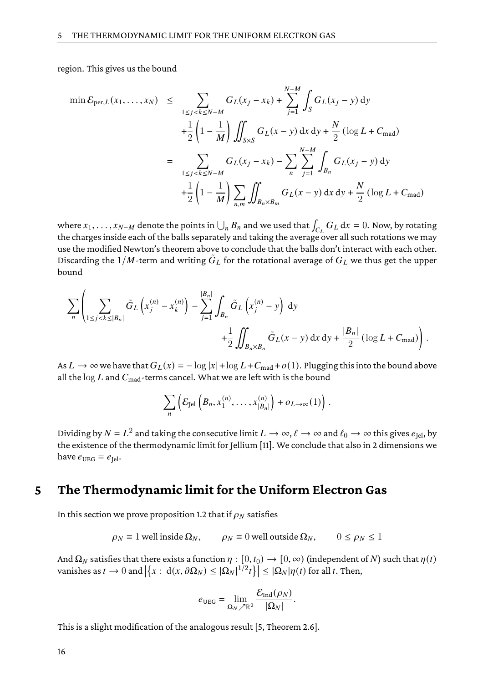region. This gives us the bound

$$
\min \mathcal{E}_{\text{per},L}(x_1, \dots, x_N) \leq \sum_{1 \leq j < k \leq N-M} G_L(x_j - x_k) + \sum_{j=1}^{N-M} \int_S G_L(x_j - y) \, dy
$$
\n
$$
+ \frac{1}{2} \left( 1 - \frac{1}{M} \right) \iint_{S \times S} G_L(x - y) \, dx \, dy + \frac{N}{2} \left( \log L + C_{\text{mad}} \right)
$$
\n
$$
= \sum_{1 \leq j < k \leq N-M} G_L(x_j - x_k) - \sum_{n} \sum_{j=1}^{N-M} \int_{B_n} G_L(x_j - y) \, dy
$$
\n
$$
+ \frac{1}{2} \left( 1 - \frac{1}{M} \right) \sum_{n,m} \iint_{B_n \times B_m} G_L(x - y) \, dx \, dy + \frac{N}{2} \left( \log L + C_{\text{mad}} \right)
$$

where  $x_1,\ldots,x_{N-M}$  denote the points in  $\bigcup_n B_n$  and we used that  $\int_{C_L} G_L \, \mathrm{d} x = 0.$  Now, by rotating the charges inside each of the balls separately and taking the average over all such rotations we may use the modified Newton's theorem above to conclude that the balls don't interact with each other. Discarding the  $1/M$ -term and writing  $\tilde{G}_L$  for the rotational average of  $G_L$  we thus get the upper bound

$$
\sum_{n}\left(\sum_{1\leq j
$$

As  $L \to \infty$  we have that  $G_L(x) = -\log |x| + \log L + C_{\text{mad}} + o(1)$ . Plugging this into the bound above all the  $\log L$  and  $C_{\rm mad}$ -terms cancel. What we are left with is the bound

$$
\sum_{n}\left(\mathcal{E}_{\text{Jel}}\left(B_n,x_1^{(n)},\ldots,x_{|B_n|}^{(n)}\right)+o_{L\to\infty}(1)\right).
$$

Dividing by  $N=L^2$  and taking the consecutive limit  $L\to\infty$ ,  $\ell\to\infty$  and  $\ell_0\to\infty$  this gives  $e_{\rm Jel}$ , by the existence of the thermodynamic limit for Jellium [\[11\]](#page-22-1). We conclude that also in 2 dimensions we have  $e_{\text{UEG}} = e_{\text{Iel}}$ .

#### <span id="page-15-0"></span>**5 The Thermodynamic limit for the Uniform Electron Gas**

In this section we prove proposition [1.2](#page-1-1) that if  $\rho_N$  satisfies

$$
\rho_N \equiv 1
$$
 well inside  $\Omega_N$ ,  $\rho_N \equiv 0$  well outside  $\Omega_N$ ,  $0 \le \rho_N \le 1$ 

And  $\Omega_N$  satisfies that there exists a function  $\eta : [0, t_0) \to [0, \infty)$  (independent of N) such that  $\eta(t)$ vanishes as  $t \to 0$  and  $\left|\left\{x : d(x, \partial \Omega_N) \leq |\Omega_N|^{1/2} t\right\}\right| \leq |\Omega_N| \eta(t)$  for all  $t$ . Then,

$$
e_{\text{UEG}} = \lim_{\Omega_N \nearrow \mathbb{R}^2} \frac{\mathcal{E}_{\text{Ind}}(\rho_N)}{|\Omega_N|}.
$$

This is a slight modification of the analogous result [\[5,](#page-22-2) Theorem 2.6].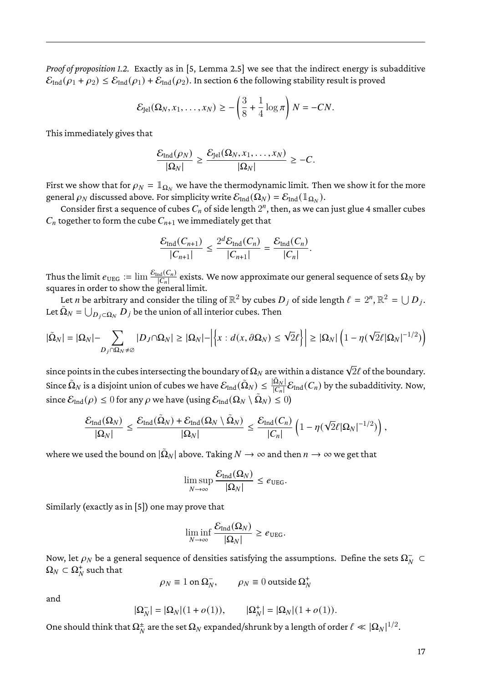*Proof of proposition [1.2.](#page-1-1)* Exactly as in [\[5,](#page-22-2) Lemma 2.5] we see that the indirect energy is subadditive  $\mathcal{E}_{\text{Ind}}(\rho_1 + \rho_2) \leq \mathcal{E}_{\text{Ind}}(\rho_1) + \mathcal{E}_{\text{Ind}}(\rho_2)$ . In section [6](#page-17-0) the following stability result is proved

$$
\mathcal{E}_{\text{Jel}}(\Omega_N, x_1, \dots, x_N) \ge -\left(\frac{3}{8} + \frac{1}{4}\log \pi\right)N = -CN.
$$

This immediately gives that

$$
\frac{\mathcal{E}_{\text{Ind}}(\rho_N)}{|\Omega_N|} \geq \frac{\mathcal{E}_{\text{Jel}}(\Omega_N, x_1, \dots, x_N)}{|\Omega_N|} \geq -C.
$$

First we show that for  $\rho_N = \mathbb{1}_{\Omega_N}$  we have the thermodynamic limit. Then we show it for the more general  $\rho_N$  discussed above. For simplicity write  $\mathcal{E}_\text{Ind}(\Omega_N) = \mathcal{E}_\text{Ind}(\mathbb{1}_{\Omega_N}).$ 

Consider first a sequence of cubes  $C_n$  of side length  $2^n$ , then, as we can just glue 4 smaller cubes  $C_n$  together to form the cube  $C_{n+1}$  we immediately get that

$$
\frac{\mathcal{E}_{\text{Ind}}(C_{n+1})}{|C_{n+1}|} \le \frac{2^d \mathcal{E}_{\text{Ind}}(C_n)}{|C_{n+1}|} = \frac{\mathcal{E}_{\text{Ind}}(C_n)}{|C_n|}.
$$

Thus the limit  $e_{\rm UEG}:=\lim\frac{\mathcal{E}_{\rm Ind}(C_n)}{|C_n|}$  exists. We now approximate our general sequence of sets  $\Omega_N$  by squares in order to show the general limit.

Let *n* be arbitrary and consider the tiling of  $\mathbb{R}^2$  by cubes  $D_j$  of side length  $\ell = 2^n$ ,  $\mathbb{R}^2 = \bigcup D_j$ . Let  $\tilde{\Omega}_N = \bigcup_{D_j \subset \Omega_N} \tilde{D}_j$  be the union of all interior cubes. Then

$$
|\tilde{\Omega}_{N}|=|\Omega_{N}|-\sum_{D_{j}\cap\Omega_{N}\neq\emptyset}|D_{J}\cap\Omega_{N}|\geq|\Omega_{N}|-\left|\left\{x:d(x,\partial\Omega_{N})\leq\sqrt{2}\ell\right\}\right|\geq|\Omega_{N}|\left(1-\eta(\sqrt{2}\ell|\Omega_{N}|^{-1/2})\right)
$$

since points in the cubes intersecting the boundary of  $\Omega_N$  are within a distance  $\sqrt{2}\ell$  of the boundary. Since  $\tilde\Omega_N$  is a disjoint union of cubes we have  $\mathcal E_{\rm Ind}(\tilde\Omega_N)\leq \frac{|\tilde\Omega_N|}{|C_n|}\mathcal E_{\rm Ind}(C_n)$  by the subadditivity. Now, since  $\mathcal{E}_\text{Ind}(\rho)\leq 0$  for any  $\rho$  we have (using  $\mathcal{E}_\text{Ind}(\Omega_N\setminus\tilde\Omega_N)\leq 0)$ 

$$
\frac{\mathcal{E}_{\mathrm{Ind}}(\Omega_N)}{|\Omega_N|} \leq \frac{\mathcal{E}_{\mathrm{Ind}}(\tilde{\Omega}_N) + \mathcal{E}_{\mathrm{Ind}}(\Omega_N \setminus \tilde{\Omega}_N)}{|\Omega_N|} \leq \frac{\mathcal{E}_{\mathrm{Ind}}(C_n)}{|C_n|} \left(1 - \eta(\sqrt{2}\ell |\Omega_N|^{-1/2})\right),
$$

where we used the bound on  $|\tilde{\Omega}_N|$  above. Taking  $N\to\infty$  and then  $n\to\infty$  we get that

$$
\limsup_{N\to\infty}\frac{\mathcal{E}_{\text{Ind}}(\Omega_N)}{|\Omega_N|}\leq e_{\text{UEG}}.
$$

Similarly (exactly as in [\[5\]](#page-22-2)) one may prove that

$$
\liminf_{N \to \infty} \frac{\mathcal{E}_{\text{Ind}}(\Omega_N)}{|\Omega_N|} \geq e_{\text{UEG}}.
$$

Now, let  $\rho_N$  be a general sequence of densities satisfying the assumptions. Define the sets  $\Omega_N^+ \subset$  $\Omega_N \subset \Omega_N^+$  such that

$$
\rho_N \equiv 1 \text{ on } \Omega_N^-, \qquad \rho_N \equiv 0 \text{ outside } \Omega_N^+
$$

and

$$
|\Omega_N^-| = |\Omega_N|(1+o(1)), \qquad |\Omega_N^+| = |\Omega_N|(1+o(1)).
$$

One should think that  $\Omega_N^\pm$  are the set  $\Omega_N$  expanded/shrunk by a length of order  $\ell\ll |\Omega_N|^{1/2}.$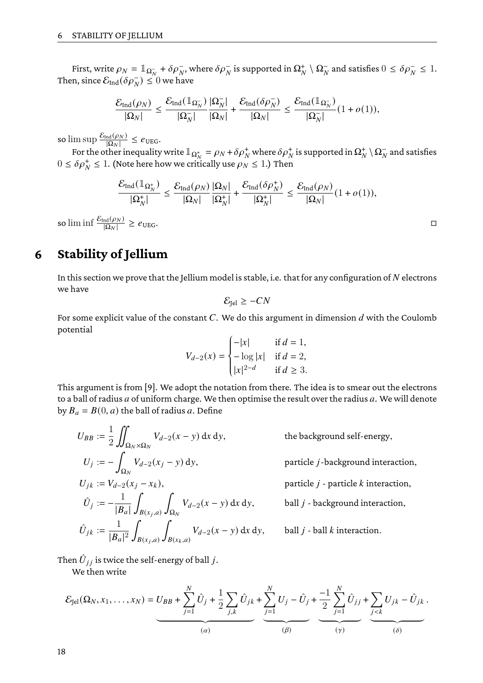First, write  $\rho_N = \mathbb{1}_{\Omega_N^-} + \delta \rho_N^-$ , where  $\delta \rho_N^-$  is supported in  $\Omega_N^+ \setminus \Omega_N^-$  and satisfies  $0 \leq \delta \rho_N^- \leq 1$ . Then, since  $\mathcal{E}_{\text{Ind}}(\delta\rho_N^-)\leq 0$  we have

$$
\frac{\mathcal{E}_{\rm Ind}(\rho_N)}{|\Omega_N|}\leq \frac{\mathcal{E}_{\rm Ind}(\mathbb{1}_{\Omega_N^-})}{|\Omega_N^-|}\frac{|\Omega_N^-|}{|\Omega_N|}+\frac{\mathcal{E}_{\rm Ind}(\delta\rho_N^-)}{|\Omega_N|}\leq \frac{\mathcal{E}_{\rm Ind}(\mathbb{1}_{\Omega_N^-})}{|\Omega_N^-|}(1+o(1)),
$$

so  $\limsup \frac{\mathcal{E}_{\text{Ind}}(\rho_N)}{|\Omega_N|} \leq e_{\text{UEG}}$ .

For the other inequality write  $\mathbb{1}_{\Omega^+_N}=\rho_N+\delta\rho_N^+$  where  $\delta\rho_N^+$  is supported in  $\Omega^+_N\setminus\Omega^-_N$  and satisfies  $0 \leq \delta \rho_N^+ \leq 1$ . (Note here how we critically use  $\rho_N \leq 1$ .) Then

$$
\frac{\mathcal{E}_{\mathrm{Ind}}(\mathbb{1}_{\Omega^+_N})}{|\Omega^+_N|} \leq \frac{\mathcal{E}_{\mathrm{Ind}}(\rho_N)}{|\Omega_N|}\frac{|\Omega_N|}{|\Omega^+_N|} + \frac{\mathcal{E}_{\mathrm{Ind}}(\delta\rho^+_N)}{|\Omega^+_N|} \leq \frac{\mathcal{E}_{\mathrm{Ind}}(\rho_N)}{|\Omega_N|}(1+o(1)),
$$

so  $\liminf \frac{\mathcal{E}_{\text{Ind}}(\rho_N)}{|\Omega_N|}$  $\geq e_{\text{UEG}}$ .

# <span id="page-17-0"></span>**6 Stability of Jellium**

In this section we prove that the Jellium model is stable, i.e. that for any configuration of  $N$  electrons we have

$$
\mathcal{E}_{\text{Jel}} \geq -CN
$$

For some explicit value of the constant  $C$ . We do this argument in dimension  $d$  with the Coulomb potential

$$
V_{d-2}(x) = \begin{cases} -|x| & \text{if } d = 1, \\ -\log|x| & \text{if } d = 2, \\ |x|^{2-d} & \text{if } d \ge 3. \end{cases}
$$

 $\frac{1}{2}$ This argument is from [\[9\]](#page-22-5). We adopt the notation from there. The idea is to smear out the electrons to a ball of radius  $a$  of uniform charge. We then optimise the result over the radius  $a$ . We will denote by  $B_a = B(0, a)$  the ball of radius a. Define

$$
U_{BB} := \frac{1}{2} \iint_{\Omega_N \times \Omega_N} V_{d-2}(x - y) \, dx \, dy,
$$
  
\n
$$
U_j := - \int_{\Omega_N} V_{d-2}(x_j - y) \, dy,
$$
  
\n
$$
U_{jk} := V_{d-2}(x_j - x_k),
$$
  
\n
$$
\hat{U}_j := -\frac{1}{|B_a|} \int_{B(x_j, a)} \int_{\Omega_N} V_{d-2}(x - y) \, dx \, dy,
$$
  
\n
$$
\hat{U}_{jk} := \frac{1}{|B_a|^2} \int_{B(x_j, a)} \int_{B(x_k, a)} V_{d-2}(x - y) \, dx \, dy,
$$

the background self-energy,

particle *j*-background interaction,

particle  $j$  - particle  $k$  interaction,

ball  $j$  - background interaction,

 $y,$  ball  $j$  - ball  $k$  interaction.

Then  $\hat{U}_{jj}$  is twice the self-energy of ball  $j.$ 

We then write

$$
\mathcal{E}_{\text{Jel}}(\Omega_N, x_1, \dots, x_N) = U_{BB} + \sum_{j=1}^N \hat{U}_j + \frac{1}{2} \sum_{j,k} \hat{U}_{jk} + \sum_{j=1}^N U_j - \hat{U}_j + \frac{-1}{2} \sum_{j=1}^N \hat{U}_{jj} + \sum_{j
$$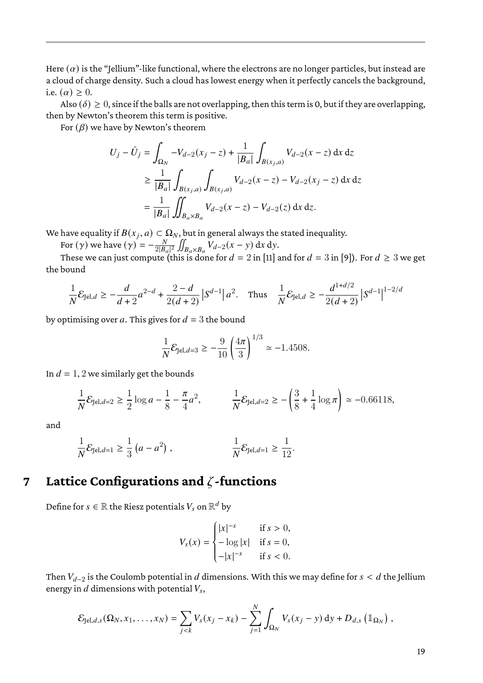Here  $(a)$  is the "Jellium"-like functional, where the electrons are no longer particles, but instead are a cloud of charge density. Such a cloud has lowest energy when it perfectly cancels the background, i.e.  $(\alpha) \geq 0$ .

Also ( $\delta$ )  $\geq$  0, since if the balls are not overlapping, then this term is 0, but if they are overlapping, then by Newton's theorem this term is positive.

For  $(\beta)$  we have by Newton's theorem

$$
U_j - \hat{U}_j = \int_{\Omega_N} -V_{d-2}(x_j - z) + \frac{1}{|B_a|} \int_{B(x_j, a)} V_{d-2}(x - z) dx dz
$$
  
\n
$$
\geq \frac{1}{|B_a|} \int_{B(x_j, a)} \int_{B(x_j, a)} V_{d-2}(x - z) - V_{d-2}(x_j - z) dx dz
$$
  
\n
$$
= \frac{1}{|B_a|} \iint_{B_a \times B_a} V_{d-2}(x - z) - V_{d-2}(z) dx dz.
$$

We have equality if  $B(x_j, a) \subset \Omega_N$ , but in general always the stated inequality.

For  $(\gamma)$  we have  $(\gamma) = -\frac{N}{2|R}$  $\frac{N}{2|B_a|^2} \iint_{B_a \times B_a} V_{d-2}(x-y) dx dy.$ 

These we can just compute (this is done for  $d = 2$  in [\[11\]](#page-22-1) and for  $d = 3$  in [\[9\]](#page-22-5)). For  $d \ge 3$  we get the bound

$$
\frac{1}{N}\mathcal{E}_{\text{Jel},d} \ge -\frac{d}{d+2}a^{2-d} + \frac{2-d}{2(d+2)}|S^{d-1}|a^2. \quad \text{Thus} \quad \frac{1}{N}\mathcal{E}_{\text{Jel},d} \ge -\frac{d^{1+d/2}}{2(d+2)}|S^{d-1}|^{1-2/d}
$$

by optimising over a. This gives for  $d = 3$  the bound

$$
\frac{1}{N} \mathcal{E}_{\text{Jel},d=3} \ge -\frac{9}{10} \left(\frac{4\pi}{3}\right)^{1/3} \simeq -1.4508.
$$

In  $d = 1, 2$  we similarly get the bounds

$$
\frac{1}{N} \mathcal{E}_{\text{Jel},d=2} \ge \frac{1}{2} \log a - \frac{1}{8} - \frac{\pi}{4} a^2, \qquad \frac{1}{N} \mathcal{E}_{\text{Jel},d=2} \ge -\left(\frac{3}{8} + \frac{1}{4} \log \pi\right) \simeq -0.66118,
$$

and

$$
\frac{1}{N} \mathcal{E}_{\text{Jel},d=1} \ge \frac{1}{3} (a - a^2) , \qquad \qquad \frac{1}{N} \mathcal{E}_{\text{Jel},d=1} \ge \frac{1}{12} .
$$

### <span id="page-18-0"></span>**7 Lattice Configurations and** 𝜁**-functions**

Define for  $s\in\mathbb{R}$  the Riesz potentials  $V_s$  on  $\mathbb{R}^d$  by

$$
V_s(x) = \begin{cases} |x|^{-s} & \text{if } s > 0, \\ -\log |x| & \text{if } s = 0, \\ -|x|^{-s} & \text{if } s < 0. \end{cases}
$$

Then  $V_{d-2}$  is the Coulomb potential in  $d$  dimensions. With this we may define for  $s < d$  the Jellium energy in  $d$  dimensions with potential  $V_s,$ 

J.

$$
\mathcal{E}_{\text{Jel},d,s}(\Omega_N,x_1,\ldots,x_N)=\sum_{j
$$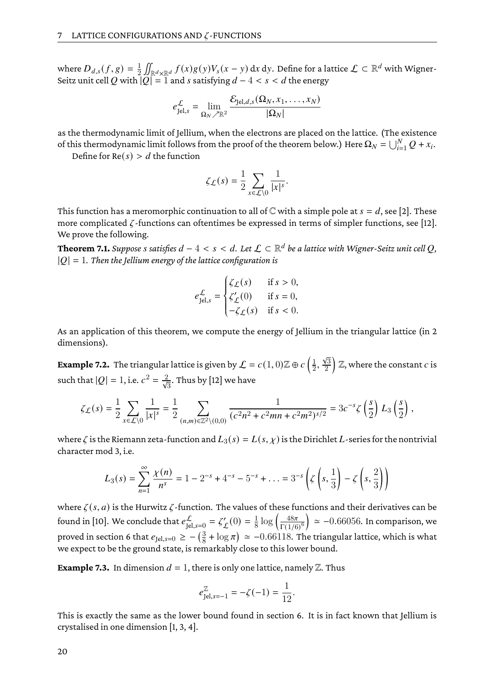where  $D_{d,s}(f,g) = \frac{1}{2}$  $\frac{1}{2}\iint_{\mathbb{R}^d\times\mathbb{R}^d}f(x)g(y)V_s(x-y)\,\mathrm{d}x\,\mathrm{d}y.$  Define for a lattice  $\mathcal{L}\subset\mathbb{R}^d$  with Wigner-Seitz unit cell Q with  $|Q| = 1$  and s satisfying  $d - 4 < s < d$  the energy

$$
e_{\text{Jel},s}^{\mathcal{L}} = \lim_{\Omega_N \nearrow \mathbb{R}^2} \frac{\mathcal{E}_{\text{Jel},d,s}(\Omega_N, x_1, \dots, x_N)}{|\Omega_N|}
$$

as the thermodynamic limit of Jellium, when the electrons are placed on the lattice. (The existence of this thermodynamic limit follows from the proof of the theorem below.) Here  $\Omega_N = \bigcup_{i=1}^N Q + x_i$ .

Define for  $Re(s) > d$  the function

$$
\zeta_{\mathcal{L}}(s) = \frac{1}{2} \sum_{x \in \mathcal{L} \setminus 0} \frac{1}{|x|^s}.
$$

This function has a meromorphic continuation to all of  $\mathbb C$  with a simple pole at  $s = d$ , see [\[2\]](#page-22-6). These more complicated  $\zeta$ -functions can oftentimes be expressed in terms of simpler functions, see [\[12\]](#page-22-7). We prove the following.

**Theorem 7.1.** Suppose  $s$  satisfies  $d-4 < s < d.$  Let  $\mathcal{L} \subset \mathbb{R}^d$  be a lattice with Wigner-Seitz unit cell  $Q,$  $|Q| = 1$ . Then the Jellium energy of the lattice configuration is

$$
e_{\text{Jel},s}^{\mathcal{L}} = \begin{cases} \zeta_{\mathcal{L}}(s) & \text{if } s > 0, \\ \zeta_{\mathcal{L}}'(0) & \text{if } s = 0, \\ -\zeta_{\mathcal{L}}(s) & \text{if } s < 0. \end{cases}
$$

As an application of this theorem, we compute the energy of Jellium in the triangular lattice (in 2 dimensions).

**Example 7.2.** The triangular lattice is given by  $\mathcal{L} = c(1,0)\mathbb{Z} \oplus c\left(\frac{1}{2}\right)$  $\frac{1}{2}, \frac{\sqrt{3}}{2}$ 2  $\big)$  Z, where the constant  $c$  is such that  $|Q|=1$ , i.e.  $c^2=\frac{2}{\sqrt{3}}.$  Thus by [\[12\]](#page-22-7) we have

$$
\zeta_{\mathcal{L}}(s) = \frac{1}{2} \sum_{x \in \mathcal{L} \setminus 0} \frac{1}{|x|^s} = \frac{1}{2} \sum_{(n,m) \in \mathbb{Z}^2 \setminus (0,0)} \frac{1}{(c^2 n^2 + c^2 mn + c^2 m^2)^{s/2}} = 3c^{-s} \zeta\left(\frac{s}{2}\right) L_3\left(\frac{s}{2}\right),
$$

where  $\zeta$  is the Riemann zeta-function and  $L_3(s) = L(s, \chi)$  is the Dirichlet L-series for the nontrivial character mod 3, i.e.

$$
L_3(s) = \sum_{n=1}^{\infty} \frac{\chi(n)}{n^s} = 1 - 2^{-s} + 4^{-s} - 5^{-s} + \dots = 3^{-s} \left( \zeta \left( s, \frac{1}{3} \right) - \zeta \left( s, \frac{2}{3} \right) \right)
$$

where  $\zeta(s, a)$  is the Hurwitz  $\zeta$ -function. The values of these functions and their derivatives can be found in [\[10\]](#page-22-8). We conclude that  $e^{\mathcal{L}}_{\mathrm{Jel, s=0}}=\zeta_{\mathcal{L}}'$  $L'(0) = \frac{1}{8}$  $\frac{1}{8} \log \left( \frac{48\pi}{\Gamma(1/6)} \right)$  $\left(\frac{48\pi}{\Gamma(1/6)^6}\right) \simeq -0.66056$ . In comparison, we proved in section [6](#page-17-0) that  $e_{\text{Jel},s=0} \geq -\left(\frac{3}{8}\right)$  $\frac{3}{8} + \log \pi$ )  $\approx -0.66118$ . The triangular lattice, which is what we expect to be the ground state, is remarkably close to this lower bound.

**Example 7.3.** In dimension  $d = 1$ , there is only one lattice, namely  $\mathbb{Z}$ . Thus

$$
e_{\text{Jel},s=-1}^{\mathbb{Z}} = -\zeta(-1) = \frac{1}{12}.
$$

This is exactly the same as the lower bound found in section [6.](#page-17-0) It is in fact known that Jellium is crystalised in one dimension [\[1,](#page-22-9) [3,](#page-22-10) [4\]](#page-22-11).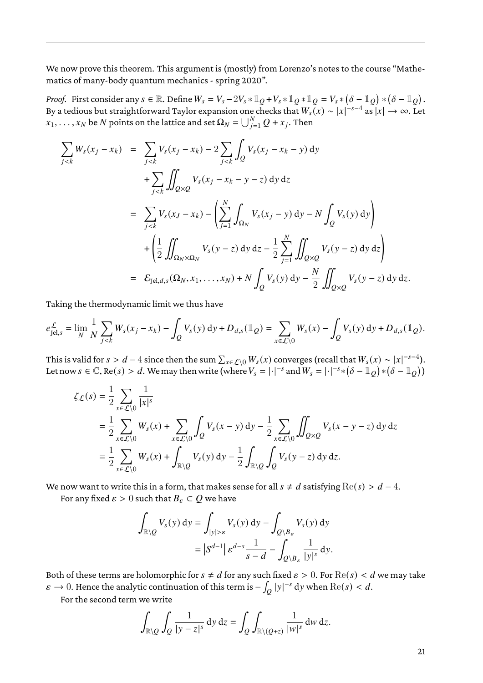We now prove this theorem. This argument is (mostly) from Lorenzo's notes to the course "Mathematics of many-body quantum mechanics - spring 2020".

*Proof.* First consider any  $s \in \mathbb{R}$ . Define  $W_s = V_s - 2V_s * \mathbb{1}_Q + V_s * \mathbb{1}_Q * \mathbb{1}_Q = V_s * (\delta - \mathbb{1}_Q) * (\delta - \mathbb{1}_Q)$ . By a tedious but straightforward Taylor expansion one checks that  $W_s(x) \sim |x|^{-s-4}$  as  $|x| \to \infty$ . Let  $x_1, \ldots, x_N$  be  $N$  points on the lattice and set  $\Omega_N = \bigcup_{j=1}^N Q + x_j.$  Then

$$
\sum_{j < k} W_s(x_j - x_k) = \sum_{j < k} V_s(x_j - x_k) - 2 \sum_{j < k} \int_Q V_s(x_j - x_k - y) \, dy
$$
\n
$$
+ \sum_{j < k} \iint_{Q \times Q} V_s(x_j - x_k - y - z) \, dy \, dz
$$
\n
$$
= \sum_{j < k} V_s(x_j - x_k) - \left( \sum_{j=1}^N \int_{\Omega_N} V_s(x_j - y) \, dy - N \int_Q V_s(y) \, dy \right)
$$
\n
$$
+ \left( \frac{1}{2} \iint_{\Omega_N \times \Omega_N} V_s(y - z) \, dy \, dz - \frac{1}{2} \sum_{j=1}^N \iint_{Q \times Q} V_s(y - z) \, dy \, dz \right)
$$
\n
$$
= \mathcal{E}_{\text{Jel},d,s}(\Omega_N, x_1, \dots, x_N) + N \int_Q V_s(y) \, dy - \frac{N}{2} \iint_{Q \times Q} V_s(y - z) \, dy \, dz.
$$

Taking the thermodynamic limit we thus have

$$
e_{\text{Jel},s}^{\mathcal{L}} = \lim_{N} \frac{1}{N} \sum_{j < k} W_s(x_j - x_k) - \int_Q V_s(y) \, \mathrm{d}y + D_{d,s}(\mathbb{1}_Q) = \sum_{x \in \mathcal{L} \setminus 0} W_s(x) - \int_Q V_s(y) \, \mathrm{d}y + D_{d,s}(\mathbb{1}_Q).
$$

This is valid for  $s>d-4$  since then the sum  $\sum_{x\in\mathcal{L}\setminus 0}W_s(x)$  converges (recall that  $W_s(x)\sim |x|^{-s-4}$ ). Let now  $s \in \mathbb{C}$ , Re $(s) > d$ . We may then write (where  $V_s = |\cdot|^{-s}$  and  $W_s = |\cdot|^{-s} * (\delta - \mathbb{1}_Q) * (\delta - \mathbb{1}_Q))$ 

$$
\zeta_{\mathcal{L}}(s) = \frac{1}{2} \sum_{x \in \mathcal{L} \setminus 0} \frac{1}{|x|^s}
$$
  
=  $\frac{1}{2} \sum_{x \in \mathcal{L} \setminus 0} W_s(x) + \sum_{x \in \mathcal{L} \setminus 0} \int_Q V_s(x - y) dy - \frac{1}{2} \sum_{x \in \mathcal{L} \setminus 0} \iint_{Q \times Q} V_s(x - y - z) dy dz$   
=  $\frac{1}{2} \sum_{x \in \mathcal{L} \setminus 0} W_s(x) + \int_{\mathbb{R} \setminus Q} V_s(y) dy - \frac{1}{2} \int_{\mathbb{R} \setminus Q} \int_Q V_s(y - z) dy dz.$ 

We now want to write this in a form, that makes sense for all  $s \neq d$  satisfying  $\text{Re}(s) > d - 4$ .

For any fixed  $\varepsilon > 0$  such that  $B_{\varepsilon} \subset Q$  we have

$$
\int_{\mathbb{R}\setminus\mathcal{Q}} V_s(y) \, \mathrm{d}y = \int_{|y|>\varepsilon} V_s(y) \, \mathrm{d}y - \int_{\mathcal{Q}\setminus B_\varepsilon} V_s(y) \, \mathrm{d}y
$$
\n
$$
= \left| S^{d-1} \right| \varepsilon^{d-s} \frac{1}{s-d} - \int_{\mathcal{Q}\setminus B_\varepsilon} \frac{1}{|y|^s} \, \mathrm{d}y.
$$

Both of these terms are holomorphic for  $s \neq d$  for any such fixed  $\varepsilon > 0$ . For  $\text{Re}(s) < d$  we may take  $\varepsilon \to 0$ . Hence the analytic continuation of this term is  $- \int_{O} |y|^{-s} dy$  when  $\text{Re}(s) < d$ .

For the second term we write

$$
\int_{\mathbb{R}\setminus\mathcal{Q}}\int_{\mathcal{Q}}\frac{1}{|y-z|^s}\,dy\,dz = \int_{\mathcal{Q}}\int_{\mathbb{R}\setminus(\mathcal{Q}+z)}\frac{1}{|w|^s}\,dw\,dz.
$$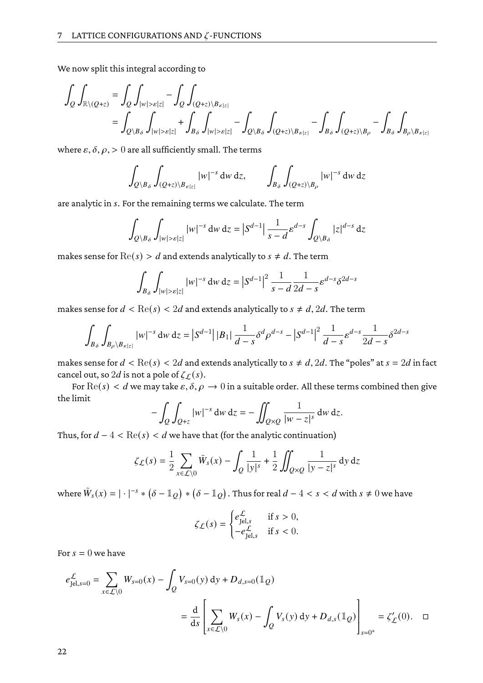We now split this integral according to

$$
\int_{Q} \int_{\mathbb{R} \setminus (Q+z)} = \int_{Q} \int_{|w| > \varepsilon|z|} - \int_{Q} \int_{(Q+z) \setminus B_{\varepsilon|z|}} \n= \int_{Q \setminus B_{\delta}} \int_{|w| > \varepsilon|z|} + \int_{B_{\delta}} \int_{|w| > \varepsilon|z|} - \int_{Q \setminus B_{\delta}} \int_{(Q+z) \setminus B_{\varepsilon|z|}} - \int_{B_{\delta}} \int_{(Q+z) \setminus B_{\rho}} - \int_{B_{\delta}} \int_{B_{\rho} \setminus B_{\varepsilon|z|}}
$$

where  $\varepsilon$ ,  $\delta$ ,  $\rho$ ,  $> 0$  are all sufficiently small. The terms

$$
\int_{Q\setminus B_\delta}\int_{(Q+z)\setminus B_{\varepsilon|z|}}|w|^{-s}\,dw\,dz, \qquad \int_{B_\delta}\int_{(Q+z)\setminus B_\rho}|w|^{-s}\,dw\,dz
$$

are analytic in s. For the remaining terms we calculate. The term

$$
\int_{Q\setminus B_\delta} \int_{|w|>\varepsilon|z|} |w|^{-s} \, dw \, dz = \left| S^{d-1} \right| \frac{1}{s-d} \varepsilon^{d-s} \int_{Q\setminus B_\delta} |z|^{d-s} \, dz
$$

makes sense for  $\text{Re}(s) > d$  and extends analytically to  $s \neq d$ . The term

$$
\int_{B_{\delta}} \int_{|w| > \varepsilon |z|} |w|^{-s} \, dw \, dz = \left| S^{d-1} \right|^2 \frac{1}{s-d} \frac{1}{2d-s} \varepsilon^{d-s} \delta^{2d-s}
$$

makes sense for  $d < \text{Re}(s) < 2d$  and extends analytically to  $s \neq d$ ,  $2d$ . The term

$$
\int_{B_{\delta}} \int_{B_{\rho} \setminus B_{\varepsilon}|z|} |w|^{-s} \, dw \, dz = \left| S^{d-1} \right| |B_1| \, \frac{1}{d-s} \delta^d \rho^{d-s} - \left| S^{d-1} \right|^2 \frac{1}{d-s} \varepsilon^{d-s} \frac{1}{2d-s} \delta^{2d-s}
$$

makes sense for  $d < \text{Re}(s) < 2d$  and extends analytically to  $s \neq d$ ,  $2d$ . The "poles" at  $s = 2d$  in fact cancel out, so  $2d$  is not a pole of  $\zeta_L(s)$ .

For  $\text{Re}(s) < d$  we may take  $\varepsilon, \delta, \rho \to 0$  in a suitable order. All these terms combined then give the limit

$$
-\int_{Q}\int_{Q+z} |w|^{-s} \,dw \,dz = -\iint_{Q\times Q} \frac{1}{|w-z|^s} \,dw \,dz.
$$

Thus, for  $d - 4 < \text{Re}(s) < d$  we have that (for the analytic continuation)

$$
\zeta_{\mathcal{L}}(s) = \frac{1}{2} \sum_{x \in \mathcal{L} \setminus 0} \tilde{W}_s(x) - \int_Q \frac{1}{|y|^s} + \frac{1}{2} \iint_{Q \times Q} \frac{1}{|y - z|^s} \, dy \, dz
$$

where  $\tilde{W}_s(x) = |\cdot|^{-s} * (\delta - \mathbb{1}_Q) * (\delta - \mathbb{1}_Q).$  Thus for real  $d-4 < s < d$  with  $s \neq 0$  we have

$$
\zeta_{\mathcal{L}}(s) = \begin{cases} e_{\text{Jel},s}^{\mathcal{L}} & \text{if } s > 0, \\ -e_{\text{Jel},s}^{\mathcal{L}} & \text{if } s < 0. \end{cases}
$$

For  $s = 0$  we have

$$
e_{\text{Jel},s=0}^{\mathcal{L}} = \sum_{x \in \mathcal{L} \setminus 0} W_{s=0}(x) - \int_{Q} V_{s=0}(y) \, dy + D_{d,s=0}(\mathbb{1}_{Q})
$$
  
= 
$$
\frac{d}{ds} \left[ \sum_{x \in \mathcal{L} \setminus 0} W_{s}(x) - \int_{Q} V_{s}(y) \, dy + D_{d,s}(\mathbb{1}_{Q}) \right]_{s=0^{+}} = \zeta'_{\mathcal{L}}(0). \quad \Box
$$